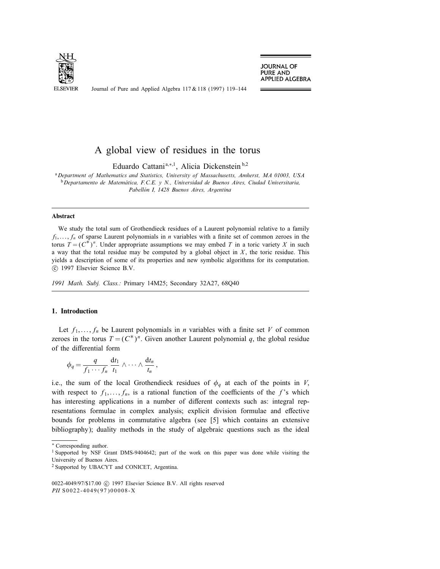

**JOURNAL OF PURE AND** APPLIED ALGEBRA

Journal of Pure and Applied Algebra 117 & 118 (1997) 119–144

# A global view of residues in the torus

Eduardo Cattani<sup>a,∗,1</sup>, Alicia Dickenstein<sup>b,2</sup>

aDepartment of Mathematics and Statistics, University of Massachusetts, Amherst, MA 01003, USA  $b$ Departamento de Matemática, F.C.E. y N., Universidad de Buenos Aires, Ciudad Universitaria, Pabellón I, 1428 Buenos Aires, Argentina

## Abstract

We study the total sum of Grothendieck residues of a Laurent polynomial relative to a family  $f_1, \ldots, f_n$  of sparse Laurent polynomials in *n* variables with a finite set of common zeroes in the torus  $T = (C^*)^n$ . Under appropriate assumptions we may embed T in a toric variety X in such a way that the total residue may be computed by a global object in  $X$ , the toric residue. This yields a description of some of its properties and new symbolic algorithms for its computation.  $\circled{c}$  1997 Elsevier Science B.V.

1991 Math. Subj. Class.: Primary 14M25; Secondary 32A27, 68Q40

## 1. Introduction

Let  $f_1, \ldots, f_n$  be Laurent polynomials in *n* variables with a finite set *V* of common zeroes in the torus  $T = (C^*)^n$ . Given another Laurent polynomial q, the global residue of the differential form

$$
\phi_q = \frac{q}{f_1 \cdots f_n} \frac{\mathrm{d}t_1}{t_1} \wedge \cdots \wedge \frac{\mathrm{d}t_n}{t_n},
$$

i.e., the sum of the local Grothendieck residues of  $\phi_q$  at each of the points in V, with respect to  $f_1, \ldots, f_n$ , is a rational function of the coefficients of the f's which has interesting applications in a number of different contexts such as: integral representations formulae in complex analysis; explicit division formulae and effective bounds for problems in commutative algebra (see [5] which contains an extensive bibliography); duality methods in the study of algebraic questions such as the ideal

<sup>∗</sup> Corresponding author.

<sup>&</sup>lt;sup>1</sup> Supported by NSF Grant DMS-9404642; part of the work on this paper was done while visiting the University of Buenos Aires.

<sup>2</sup> Supported by UBACYT and CONICET, Argentina.

<sup>0022-4049/97/\$17.00 © 1997</sup> Elsevier Science B.V. All rights reserved PII S0022-4049(97)00008-X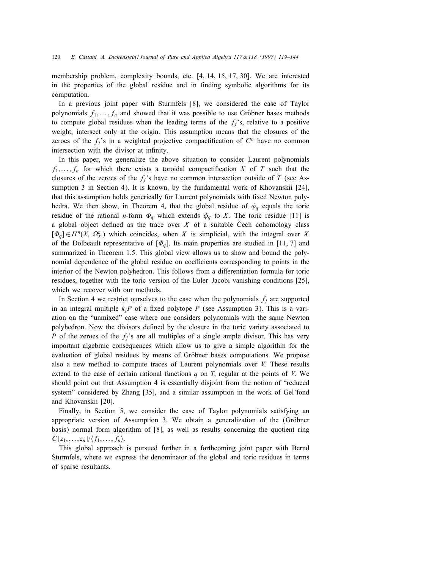membership problem, complexity bounds, etc. [4, 14, 15, 17, 30]. We are interested in the properties of the global residue and in finding symbolic algorithms for its computation.

In a previous joint paper with Sturmfels [8], we considered the case of Taylor polynomials  $f_1, \ldots, f_n$  and showed that it was possible to use Gröbner bases methods to compute global residues when the leading terms of the  $f_i$ 's, relative to a positive weight, intersect only at the origin. This assumption means that the closures of the zeroes of the  $f_i$ 's in a weighted projective compactification of  $C^n$  have no common intersection with the divisor at infinity.

In this paper, we generalize the above situation to consider Laurent polynomials  $f_1, \ldots, f_n$  for which there exists a toroidal compactification X of T such that the closures of the zeroes of the  $f_i$ 's have no common intersection outside of T (see Assumption 3 in Section 4). It is known, by the fundamental work of Khovanskii [24], that this assumption holds generically for Laurent polynomials with fixed Newton polyhedra. We then show, in Theorem 4, that the global residue of  $\phi_q$  equals the toric residue of the rational *n*-form  $\Phi_q$  which extends  $\phi_q$  to X. The toric residue [11] is a global object defined as the trace over  $X$  of a suitable Cech cohomology class  $[\Phi_q] \in H^n(X, \Omega^n_X)$  which coincides, when X is simplicial, with the integral over X of the Dolbeault representative of  $[\Phi_q]$ . Its main properties are studied in [11, 7] and summarized in Theorem 1.5. This global view allows us to show and bound the polynomial dependence of the global residue on coefficients corresponding to points in the interior of the Newton polyhedron. This follows from a differentiation formula for toric residues, together with the toric version of the Euler–Jacobi vanishing conditions [25], which we recover with our methods.

In Section 4 we restrict ourselves to the case when the polynomials  $f_j$  are supported in an integral multiple  $k_iP$  of a fixed polytope P (see Assumption 3). This is a variation on the "unmixed" case where one considers polynomials with the same Newton polyhedron. Now the divisors defined by the closure in the toric variety associated to P of the zeroes of the  $f_i$ 's are all multiples of a single ample divisor. This has very important algebraic consequences which allow us to give a simple algorithm for the evaluation of global residues by means of Gröbner bases computations. We propose also a new method to compute traces of Laurent polynomials over  $V$ . These results extend to the case of certain rational functions q on T, regular at the points of V. We should point out that Assumption 4 is essentially disjoint from the notion of "reduced system" considered by Zhang [35], and a similar assumption in the work of Gel'fond and Khovanskii [20].

Finally, in Section 5, we consider the case of Taylor polynomials satisfying an appropriate version of Assumption 3. We obtain a generalization of the (Gröbner basis) normal form algorithm of [8], as well as results concerning the quotient ring  $C[z_1, \ldots, z_n]/\langle f_1, \ldots, f_n \rangle$ .

This global approach is pursued further in a forthcoming joint paper with Bernd Sturmfels, where we express the denominator of the global and toric residues in terms of sparse resultants.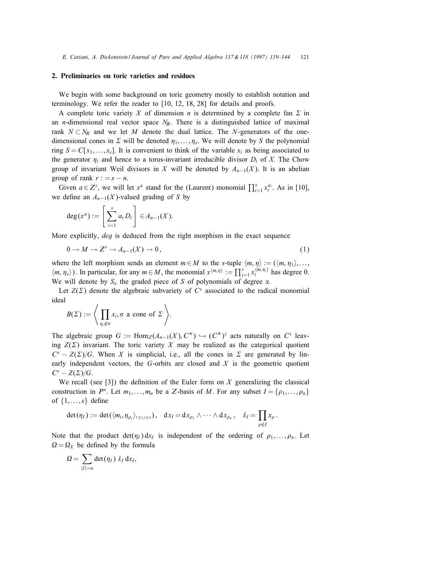# 2. Preliminaries on toric varieties and residues

We begin with some background on toric geometry mostly to establish notation and terminology. We refer the reader to [10, 12, 18, 28] for details and proofs.

A complete toric variety X of dimension n is determined by a complete fan  $\Sigma$  in an *n*-dimensional real vector space  $N_R$ . There is a distinguished lattice of maximal rank  $N \subset N_R$  and we let M denote the dual lattice. The N-generators of the onedimensional cones in  $\Sigma$  will be denoted  $\eta_1, \ldots, \eta_s$ . We will denote by S the polynomial ring  $S = C[x_1, \ldots, x_s]$ . It is convenient to think of the variable  $x_i$  as being associated to the generator  $\eta_i$  and hence to a torus-invariant irreducible divisor  $D_i$  of X. The Chow group of invariant Weil divisors in X will be denoted by  $A_{n-1}(X)$ . It is an abelian group of rank  $r := s - n$ .

Given  $a \in Z^s$ , we will let  $x^a$  stand for the (Laurent) monomial  $\prod_{i=1}^s x_i^{a_i}$ . As in [10], we define an  $A_{n-1}(X)$ -valued grading of S by

$$
\deg(x^a) := \left[\sum_{i=1}^s a_i D_i\right] \in A_{n-1}(X).
$$

More explicitly, *deg* is deduced from the right morphism in the exact sequence

$$
0 \to M \to Z^s \to A_{n-1}(X) \to 0, \tag{1}
$$

where the left morphism sends an element  $m \in M$  to the s-tuple  $\langle m, \eta \rangle := (\langle m, \eta_1 \rangle, \dots, \eta_n \rangle)$  $\langle m, \eta_s \rangle$ ). In particular, for any  $m \in M$ , the monomial  $x^{\langle m, \eta \rangle} := \prod_{i=1}^{s} x_i^{\langle m, \eta_i \rangle}$  has degree 0. We will denote by  $S_\alpha$  the graded piece of S of polynomials of degree  $\alpha$ .

Let  $Z(\Sigma)$  denote the algebraic subvariety of  $C<sup>s</sup>$  associated to the radical monomial ideal

$$
B(\Sigma) := \Bigg\langle \prod_{\eta_i \notin \sigma} x_i, \sigma \text{ a cone of } \Sigma \Bigg\rangle.
$$

The algebraic group  $G := \text{Hom}_{\mathbb{Z}}(A_{n-1}(X), C^*) \hookrightarrow (C^*)^s$  acts naturally on  $C^s$  leaving  $Z(\Sigma)$  invariant. The toric variety X may be realized as the categorical quotient  $C<sup>s</sup> - Z(\Sigma)/G$ . When X is simplicial, i.e., all the cones in  $\Sigma$  are generated by linearly independent vectors, the  $G$ -orbits are closed and  $X$  is the geometric quotient  $C^s - Z(\Sigma)/G$ .

We recall (see [3]) the definition of the Euler form on  $X$  generalizing the classical construction in  $P^n$ . Let  $m_1, \ldots, m_n$  be a Z-basis of M. For any subset  $I = \{ \rho_1, \ldots, \rho_n \}$ of  $\{1, \ldots, s\}$  define

$$
\det(\eta_I):=\det(\langle m_i,\eta_{\rho_j}\rangle_{1\leq i,j\leq n}),\quad dx_I=dx_{\rho_1}\wedge\cdots\wedge dx_{\rho_n},\quad \hat{x}_I=\prod_{\rho\notin I}x_{\rho}.
$$

Note that the product  $det(\eta_I) dx_I$  is independent of the ordering of  $\rho_1, \ldots, \rho_n$ . Let  $\Omega = \Omega_X$  be defined by the formula

$$
\Omega = \sum_{|I|=n} \det(\eta_I) \hat{x}_I \, dx_I,
$$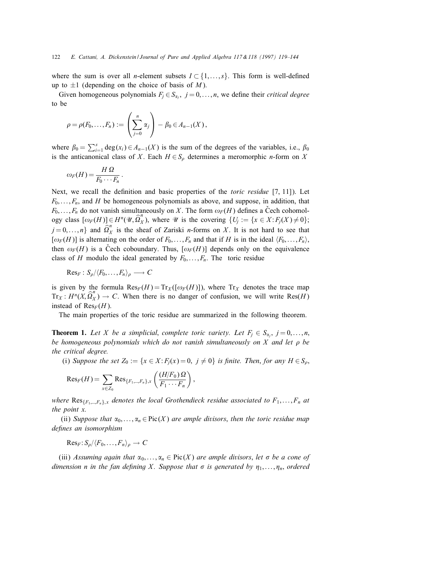where the sum is over all *n*-element subsets  $I \subset \{1, \ldots, s\}$ . This form is well-defined up to  $\pm 1$  (depending on the choice of basis of M).

Given homogeneous polynomials  $F_j \in S_{\alpha_j}$ ,  $j = 0, \ldots, n$ , we define their *critical degree* to be

$$
\rho = \rho(F_0,\ldots,F_n) := \left(\sum_{j=0}^n \alpha_j\right) - \beta_0 \in A_{n-1}(X),
$$

:

where  $\beta_0 = \sum_{i=1}^s \deg(x_i) \in A_{n-1}(X)$  is the sum of the degrees of the variables, i.e.,  $\beta_0$ is the anticanonical class of X. Each  $H \in S_\rho$  determines a meromorphic *n*-form on X

$$
\omega_F(H) = \frac{H\,\Omega}{F_0\cdots F_n}
$$

Next, we recall the definition and basic properties of the *toric residue* [7, 11]). Let  $F_0, \ldots, F_n$ , and H be homogeneous polynomials as above, and suppose, in addition, that  $F_0, \ldots, F_n$  do not vanish simultaneously on X. The form  $\omega_F(H)$  defines a Cech cohomology class  $[\omega_F(H)] \in H^n(\mathcal{U}, \hat{\Omega}_X^n)$ , where  $\mathcal U$  is the covering  $\{U_j := \{x \in X : F_j(X) \neq 0\};\$  $j = 0, \ldots, n$ } and  $\widehat{\Omega}_X^n$  is the sheaf of Zariski *n*-forms on X. It is not hard to see that  $[*\omega*<sub>F</sub>(H)]$  is alternating on the order of  $F_0, \ldots, F_n$  and that if H is in the ideal  $\langle F_0, \ldots, F_n \rangle$ , then  $\omega_F(H)$  is a Cech coboundary. Thus,  $[\omega_F(H)]$  depends only on the equivalence class of H modulo the ideal generated by  $F_0, \ldots, F_n$ . The toric residue

$$
\mathrm{Res}_F: S_\rho/\langle F_0,\ldots,F_n\rangle_\rho\longrightarrow C
$$

is given by the formula  $\text{Res}_F(H) = \text{Tr}_X((\omega_F(H)))$ , where  $\text{Tr}_X$  denotes the trace map  $Tr_X: H^n(X, \hat{Q}_X^n) \to C$ . When there is no danger of confusion, we will write Res(H) instead of  $\text{Res}_F(H)$ .

The main properties of the toric residue are summarized in the following theorem.

**Theorem 1.** Let X be a simplicial, complete toric variety. Let  $F_i \in S_\alpha$ ,  $j = 0, \ldots, n$ , be homogeneous polynomials which do not vanish simultaneously on X and let  $\rho$  be the critical degree.

(i) Suppose the set  $Z_0 := \{x \in X : F_j(x) = 0, j \neq 0\}$  is finite. Then, for any  $H \in S_\rho$ ,

$$
\mathrm{Res}_F(H) = \sum_{x \in Z_0} \mathrm{Res}_{\{F_1,\ldots,F_n\},x} \left( \frac{(H/F_0) \Omega}{F_1 \cdots F_n} \right),
$$

where  $\text{Res}_{\{F_1,\dots,F_n\},x}$  denotes the local Grothendieck residue associated to  $F_1,\dots,F_n$  at the point x.

(ii) Suppose that  $\alpha_0, \ldots, \alpha_n \in \text{Pic}(X)$  are ample divisors, then the toric residue map defines an isomorphism

 $Res_F: S_\rho/\langle F_0,\ldots,F_n\rangle_\rho \to C$ 

(iii) Assuming again that  $\alpha_0, \ldots, \alpha_n \in \text{Pic}(X)$  are ample divisors, let  $\sigma$  be a cone of dimension n in the fan defining X. Suppose that  $\sigma$  is generated by  $\eta_1, \ldots, \eta_n$ , ordered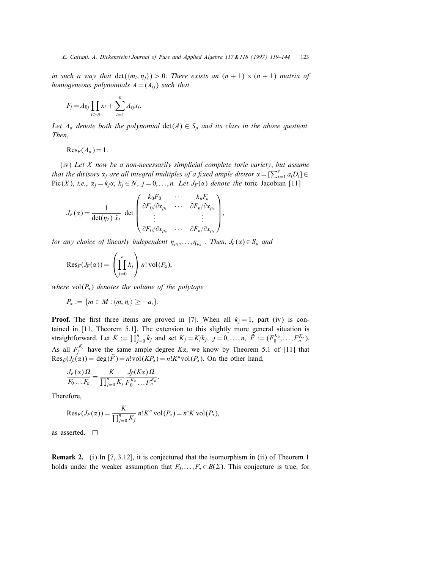in such a way that  $\det(\langle m_i, \eta_j \rangle) > 0$ . There exists an  $(n + 1) \times (n + 1)$  matrix of homogeneous polynomials  $A = (A_{ij})$  such that

$$
F_j = A_{0j} \prod_{i > n} x_i + \sum_{i=1}^n A_{ij} x_i.
$$

Let  $\Delta_{\sigma}$  denote both the polynomial  $\det(A) \in S_{\rho}$  and its class in the above quotient. Then,

 $Res_F(\varDelta_{\sigma}) = 1.$ 

 $(iv)$  Let  $X$  now be a non-necessarily simplicial complete toric variety, but assume that the divisors  $\alpha_j$  are all integral multiples of a fixed ample divisor  $\alpha = [\sum_{i=1}^s a_i D_i]$ Pic(X), i.e.,  $\alpha_j = k_j \alpha$ ,  $k_j \in N$ ,  $j = 0, ..., n$ . Let  $J_F(\alpha)$  denote the toric Jacobian [11]

$$
J_F(\alpha) = \frac{1}{\det(\eta_I) \hat{x}_I} \det \begin{pmatrix} k_0 F_0 & \cdots & k_n F_n \\ \partial F_0 / \partial x_{\rho_1} & \cdots & \partial F_n / \partial x_{\rho_1} \\ \vdots & & \vdots \\ \partial F_0 / \partial x_{\rho_n} & \cdots & \partial F_n / \partial x_{\rho_n} \end{pmatrix},
$$

for any choice of linearly independent  $\eta_{\rho_1}, \ldots, \eta_{\rho_n}$ . Then,  $J_F(\alpha) \in S_\rho$  and

$$
\mathrm{Res}_F(J_F(\alpha))=\left(\prod_{j=0}^n k_j\right)n!\,\mathrm{vol}(P_\alpha),
$$

where  $vol(P_{\alpha})$  denotes the volume of the polytope

$$
P_{\alpha}:=\{m\in M:\langle m,\eta_i\rangle\geq -a_i\}.
$$

**Proof.** The first three items are proved in [7]. When all  $k<sub>i</sub> = 1$ , part (iv) is contained in [11, Theorem 5.1]. The extension to this slightly more general situation is straightforward. Let  $K := \prod_{j=0}^{n} k_j$  and set  $K_j = K/k_j$ ,  $j = 0, \ldots, n$ ,  $\tilde{F} := (F_0^{K_0}, \ldots, F_n^{K_n})$ . As all  $F_j^{K_j}$  have the same ample degree  $K\alpha$ , we know by Theorem 5.1 of [11] that  $Res_{\tilde{F}}(J_{\tilde{F}}(\alpha)) = deg(\tilde{F}) = n! \text{vol}(KP_{\alpha}) = n! K^{n} \text{vol}(P_{\alpha})$ . On the other hand,

$$
\frac{J_F(\alpha)\Omega}{F_0 \dots F_n} = \frac{K}{\prod_{j=0}^n K_j} \frac{J_{\tilde{F}}(K\alpha)\Omega}{F_0^{K_0} \dots F_n^{K_n}}.
$$

Therefore,

$$
\mathrm{Res}_F(J_F(\alpha)) = \frac{K}{\prod_{j=0}^n K_j} n! K^n \operatorname{vol}(P_\alpha) = n! K \operatorname{vol}(P_\alpha),
$$

as asserted.

Remark 2. (i) In [7, 3.12], it is conjectured that the isomorphism in (ii) of Theorem 1 holds under the weaker assumption that  $F_0, \ldots, F_n \in B(\Sigma)$ . This conjecture is true, for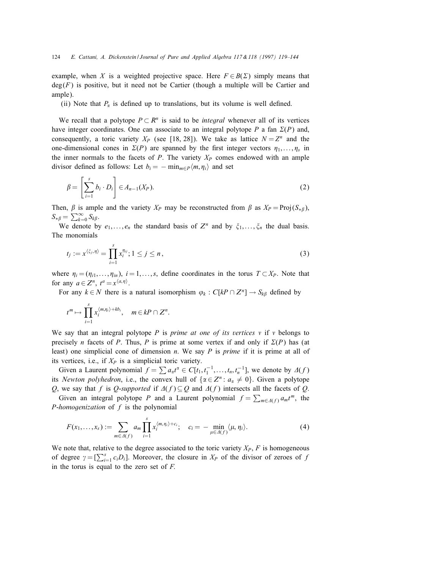example, when X is a weighted projective space. Here  $F \in B(\Sigma)$  simply means that  $deg(F)$  is positive, but it need not be Cartier (though a multiple will be Cartier and ample).

(ii) Note that  $P_\alpha$  is defined up to translations, but its volume is well defined.

We recall that a polytope  $P \subset \mathbb{R}^n$  is said to be *integral* whenever all of its vertices have integer coordinates. One can associate to an integral polytope P a fan  $\Sigma(P)$  and, consequently, a toric variety  $X_P$  (see [18, 28]). We take as lattice  $N = Z^n$  and the one-dimensional cones in  $\Sigma(P)$  are spanned by the first integer vectors  $\eta_1, \ldots, \eta_s$  in the inner normals to the facets of  $P$ . The variety  $X_P$  comes endowed with an ample divisor defined as follows: Let  $b_i = -\min_{m \in P} \langle m, \eta_i \rangle$  and set

$$
\beta = \left[\sum_{i=1}^{s} b_i \cdot D_i\right] \in A_{n-1}(X_P). \tag{2}
$$

Then,  $\beta$  is ample and the variety  $X_P$  may be reconstructed from  $\beta$  as  $X_P = \text{Proj}(S_{\ast \beta})$ ,  $S_{*\beta} = \sum_{k=0}^{\infty} S_{k\beta}.$ 

We denote by  $e_1, \ldots, e_n$  the standard basis of  $Z^n$  and by  $\xi_1, \ldots, \xi_n$  the dual basis. The monomials

$$
t_j := x^{\langle \xi_j, \eta \rangle} = \prod_{i=1}^s x_i^{\eta_{ij}}; 1 \le j \le n,
$$
\n(3)

where  $\eta_i = (\eta_{i1}, \dots, \eta_{in}), i = 1, \dots, s$ , define coordinates in the torus  $T \subset X_P$ . Note that for any  $a \in Z^n$ ,  $t^a = x^{\langle a, \eta \rangle}$ .

For any  $k \in N$  there is a natural isomorphism  $\varphi_k : C[kP \cap Z^n] \to S_{k\beta}$  defined by

$$
t^m \mapsto \prod_{i=1}^s x_i^{\langle m,\eta_i\rangle + kb_i}, \quad m \in kP \cap Z^n.
$$

We say that an integral polytope P is prime at one of its vertices  $\nu$  if  $\nu$  belongs to precisely *n* facets of *P*. Thus, *P* is prime at some vertex if and only if  $\Sigma(P)$  has (at least) one simplicial cone of dimension  $n$ . We say  $P$  is prime if it is prime at all of its vertices, i.e., if  $X_P$  is a simplicial toric variety.

Given a Laurent polynomial  $f = \sum a_{\alpha} t^{\alpha} \in C[t_1, t_1^{-1}, \dots, t_n, t_n^{-1}]$ , we denote by  $\Delta(f)$ its Newton polyhedron, i.e., the convex hull of  $\{\alpha \in \mathbb{Z}^n : a_{\alpha} \neq 0\}$ . Given a polytope Q, we say that f is Q-supported if  $\Delta(f) \subseteq Q$  and  $\Delta(f)$  intersects all the facets of Q.

Given an integral polytope P and a Laurent polynomial  $f = \sum_{m \in \Delta(f)} a_m t^m$ , the *P*-homogenization of  $f$  is the polynomial

$$
F(x_1,\ldots,x_s):=\sum_{m\in\Delta(f)}a_m\prod_{i=1}^s x_i^{\langle m,\eta_i\rangle+c_i};\quad c_i=-\min_{\mu\in\Delta(f)}\langle\mu,\eta_i\rangle.
$$
 (4)

We note that, relative to the degree associated to the toric variety  $X_P$ ,  $F$  is homogeneous of degree  $\gamma = \left[\sum_{i=1}^{s} c_i D_i\right]$ . Moreover, the closure in  $X_P$  of the divisor of zeroes of f in the torus is equal to the zero set of  $F$ .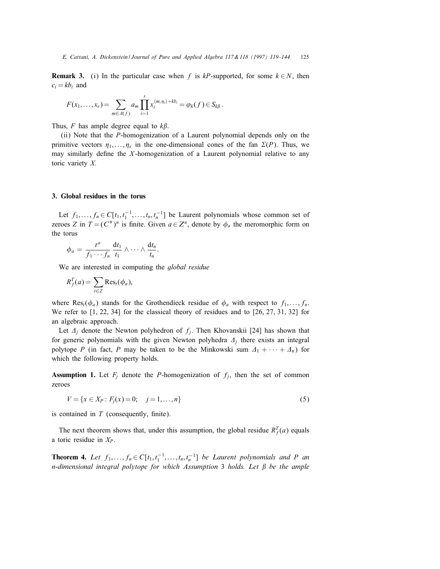**Remark 3.** (i) In the particular case when f is kP-supported, for some  $k \in N$ , then  $c_i = kb_i$  and

$$
F(x_1,\ldots,x_s)=\sum_{m\in\Delta(f)}a_m\prod_{i=1}^s x_i^{\langle m,\eta_i\rangle+kb_i}=\varphi_k(f)\in S_{k\beta}.
$$

Thus, F has ample degree equal to  $k\beta$ .

(ii) Note that the P-homogenization of a Laurent polynomial depends only on the primitive vectors  $\eta_1, \ldots, \eta_s$  in the one-dimensional cones of the fan  $\Sigma(P)$ . Thus, we may similarly define the  $X$ -homogenization of a Laurent polynomial relative to any toric variety X.

## 3. Global residues in the torus

Let  $f_1, \ldots, f_n \in C[t_1, t_1^{-1}, \ldots, t_n, t_n^{-1}]$  be Laurent polynomials whose common set of zeroes Z in  $T = (C^*)^n$  is finite. Given  $a \in \mathbb{Z}^n$ , denote by  $\phi_a$  the meromorphic form on the torus

$$
\phi_a = \frac{t^a}{f_1 \cdots f_n} \frac{dt_1}{t_1} \wedge \cdots \wedge \frac{dt_n}{t_n}.
$$

We are interested in computing the *global residue* 

$$
R_f^T(a) = \sum_{t \in Z} \text{Res}_t(\phi_a),
$$

where Res<sub>t</sub>( $\phi_a$ ) stands for the Grothendieck residue of  $\phi_a$  with respect to  $f_1, \ldots, f_n$ . We refer to [1, 22, 34] for the classical theory of residues and to [26, 27, 31, 32] for an algebraic approach.

Let  $\Delta_i$  denote the Newton polyhedron of  $f_i$ . Then Khovanskii [24] has shown that for generic polynomials with the given Newton polyhedra  $\Delta_i$  there exists an integral polytope P (in fact, P may be taken to be the Minkowski sum  $\Delta_1 + \cdots + \Delta_n$ ) for which the following property holds.

**Assumption 1.** Let  $F_j$  denote the P-homogenization of  $f_j$ , then the set of common zeroes

$$
V = \{x \in X_P : F_j(x) = 0; \quad j = 1, ..., n\}
$$
\n(5)

is contained in  $T$  (consequently, finite).

The next theorem shows that, under this assumption, the global residue  $R_f^T(a)$  equals a toric residue in  $X_P$ .

**Theorem 4.** Let  $f_1, \ldots, f_n \in C[t_1, t_1^{-1}, \ldots, t_n, t_n^{-1}]$  be Laurent polynomials and P an n-dimensional integral polytope for which Assumption 3 holds. Let  $\beta$  be the ample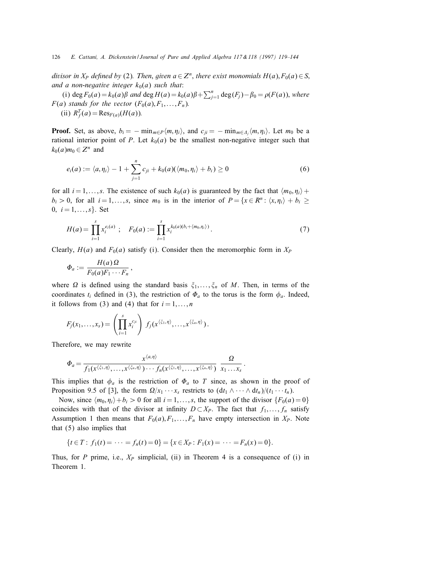divisor in  $X_P$  defined by (2). Then, given  $a \in \mathbb{Z}^n$ , there exist monomials  $H(a), F_0(a) \in S$ , and a non-negative integer  $k_0(a)$  such that:

(i) deg  $F_0(a) = k_0(a)\beta$  and deg  $H(a) = k_0(a)\beta + \sum_{j=1}^n \deg(F_j) - \beta_0 = \rho(F(a))$ , where  $F(a)$  stands for the vector  $(F_0(a), F_1, \ldots, F_n)$ .

(ii)  $R_f^T(a) = \text{Res}_{F(a)}(H(a)).$ 

**Proof.** Set, as above,  $b_i = -\min_{m \in P} \langle m, \eta_i \rangle$ , and  $c_{ii} = -\min_{m \in \Delta_i} \langle m, \eta_i \rangle$ . Let  $m_0$  be a rational interior point of P. Let  $k_0(a)$  be the smallest non-negative integer such that  $k_0(a)m_0 \in Z^n$  and

$$
e_i(a) := \langle a, \eta_i \rangle - 1 + \sum_{j=1}^n c_{ji} + k_0(a)(\langle m_0, \eta_i \rangle + b_i) \ge 0
$$
 (6)

for all  $i = 1, \ldots, s$ . The existence of such  $k_0(a)$  is guaranteed by the fact that  $\langle m_0, \eta_i \rangle +$  $b_i > 0$ , for all  $i = 1, ..., s$ , since  $m_0$  is in the interior of  $P = \{x \in \mathbb{R}^n : \langle x, \eta_i \rangle + b_i \geq 0\}$ 0,  $i = 1, ..., s$ . Set

$$
H(a) = \prod_{i=1}^{s} x_i^{e_i(a)} \; ; \quad F_0(a) := \prod_{i=1}^{s} x_i^{k_0(a)(b_i + \langle m_0, \eta_i \rangle)} \, . \tag{7}
$$

Clearly,  $H(a)$  and  $F<sub>0</sub>(a)$  satisfy (i). Consider then the meromorphic form in  $X<sub>P</sub>$ 

$$
\Phi_a:=\frac{H(a)\,\Omega}{F_0(a)F_1\cdots F_n}\,,
$$

where  $\Omega$  is defined using the standard basis  $\xi_1, \ldots, \xi_n$  of M. Then, in terms of the coordinates  $t_i$  defined in (3), the restriction of  $\Phi_a$  to the torus is the form  $\phi_a$ . Indeed, it follows from (3) and (4) that for  $i = 1, \ldots, n$ 

$$
F_j(x_1,\ldots,x_s)=\left(\prod_{i=1}^s x_i^{c_{ji}}\right)\,f_j(x^{\langle \xi_1,\eta \rangle},\ldots,x^{\langle \xi_n,\eta \rangle}).
$$

Therefore, we may rewrite

$$
\Phi_a = \frac{x^{\langle a,\eta \rangle}}{f_1(x^{\langle \xi_1,\eta \rangle},\ldots,x^{\langle \xi_n,\eta \rangle})\cdots f_n(x^{\langle \xi_1,\eta \rangle},\ldots,x^{\langle \xi_n,\eta \rangle})} \frac{\Omega}{x_1\ldots x_s}.
$$

This implies that  $\phi_a$  is the restriction of  $\Phi_a$  to T since, as shown in the proof of Proposition 9.5 of [3], the form  $\Omega/x_1 \cdots x_s$  restricts to  $(\mathrm{d}t_1 \wedge \cdots \wedge \mathrm{d}t_n)/(t_1 \cdots t_n)$ .

Now, since  $\langle m_0, \eta_i \rangle + b_i > 0$  for all  $i = 1, \dots, s$ , the support of the divisor  $\{F_0(a) = 0\}$ coincides with that of the divisor at infinity  $D \subset X_P$ . The fact that  $f_1, \ldots, f_n$  satisfy Assumption 1 then means that  $F_0(a), F_1, \ldots, F_n$  have empty intersection in  $X_P$ . Note that (5) also implies that

$$
\{t \in T : f_1(t) = \cdots = f_n(t) = 0\} = \{x \in X_P : F_1(x) = \cdots = F_n(x) = 0\}.
$$

Thus, for P prime, i.e.,  $X_P$  simplicial, (ii) in Theorem 4 is a consequence of (i) in Theorem 1.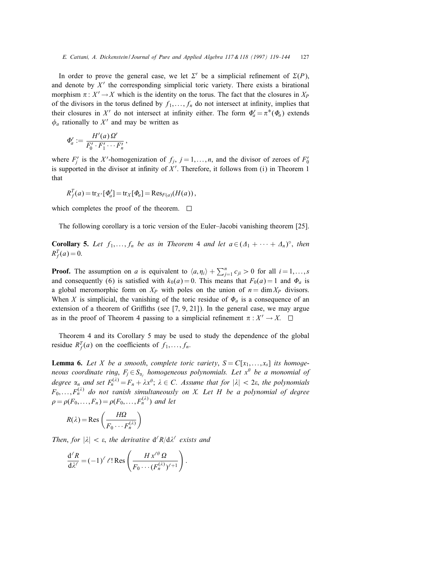In order to prove the general case, we let  $\Sigma'$  be a simplicial refinement of  $\Sigma(P)$ , and denote by  $X'$  the corresponding simplicial toric variety. There exists a birational morphism  $\pi : X' \to X$  which is the identity on the torus. The fact that the closures in  $X_P$ of the divisors in the torus defined by  $f_1, \ldots, f_n$  do not intersect at infinity, implies that their closures in X' do not intersect at infinity either. The form  $\Phi'_a = \pi^*(\Phi_a)$  extends  $\phi_a$  rationally to X' and may be written as

$$
\Phi'_a:=\frac{H'(a)\,\Omega'}{F'_0\cdot F'_1\cdots F'_n},
$$

where  $F'_j$  is the X'-homogenization of  $f_j$ ,  $j = 1, \ldots, n$ , and the divisor of zeroes of  $F'_0$ is supported in the divisor at infinity of  $X'$ . Therefore, it follows from (i) in Theorem 1 that

$$
R_f^T(a) = \operatorname{tr}_{X'}[\Phi'_a] = \operatorname{tr}_X[\Phi_a] = \operatorname{Res}_{F(a)}(H(a)),
$$

which completes the proof of the theorem.  $\Box$ 

The following corollary is a toric version of the Euler–Jacobi vanishing theorem [25].

**Corollary 5.** Let  $f_1, \ldots, f_n$  be as in Theorem 4 and let  $a \in (A_1 + \cdots + A_n)^\circ$ , then  $R_f^T(a) = 0.$ 

**Proof.** The assumption on a is equivalent to  $\langle a, \eta_i \rangle + \sum_{j=1}^n c_{ji} > 0$  for all  $i = 1, ..., s$ and consequently (6) is satisfied with  $k_0(a) = 0$ . This means that  $F_0(a) = 1$  and  $\Phi_a$  is a global meromorphic form on  $X_P$  with poles on the union of  $n = \dim X_P$  divisors. When X is simplicial, the vanishing of the toric residue of  $\Phi_a$  is a consequence of an extension of a theorem of Griffiths (see  $[7, 9, 21]$ ). In the general case, we may argue as in the proof of Theorem 4 passing to a simplicial refinement  $\pi : X' \to X$ .

Theorem 4 and its Corollary 5 may be used to study the dependence of the global residue  $R_f^T(a)$  on the coefficients of  $f_1, \ldots, f_n$ .

**Lemma 6.** Let X be a smooth, complete toric variety,  $S = C[x_1, \ldots, x_s]$  its homogeneous coordinate ring,  $F_i \in S_{\alpha_i}$  homogeneous polynomials. Let  $x^{\theta}$  be a monomial of degree  $\alpha_n$  and set  $F_n^{(\lambda)} = F_n + \lambda x^{\theta}$ ;  $\lambda \in C$ . Assume that for  $|\lambda| < 2\varepsilon$ , the polynomials  $F_0, \ldots, F_n^{(\lambda)}$  do not vanish simultaneously on X. Let H be a polynomial of degree  $\rho = \rho(F_0, \ldots, F_n) = \rho(F_0, \ldots, F_n^{(\lambda)})$  and let

$$
R(\lambda) = \text{Res}\left(\frac{H\Omega}{F_0 \cdots F_n^{(\lambda)}}\right)
$$

Then, for  $|\lambda| < \varepsilon$ , the derivative  $d^{\ell}R/d\lambda^{\ell}$  exists and

$$
\frac{\mathrm{d}^{\ell} R}{\mathrm{d}\lambda^{\ell}} = (-1)^{\ell} \ell! \operatorname{Res}\left(\frac{H x^{\ell \theta} \Omega}{F_0 \cdots (F_n^{(\lambda)})^{\ell+1}}\right).
$$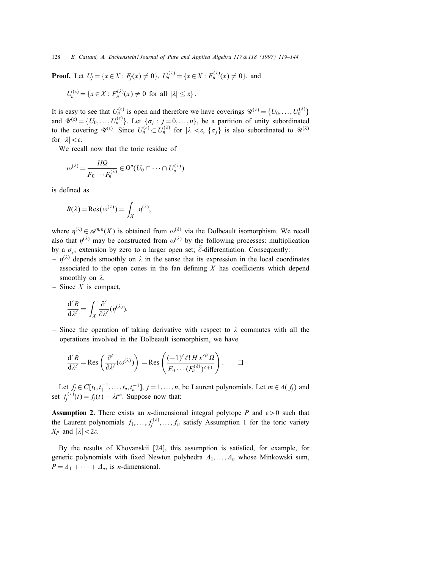**Proof.** Let  $U_i = \{x \in X : F_i(x) \neq 0\}$ ,  $U_n^{(\lambda)} = \{x \in X : F_n^{(\lambda)}(x) \neq 0\}$ , and

$$
U_n^{(\varepsilon)} = \{x \in X : F_n^{(\lambda)}(x) \neq 0 \text{ for all } |\lambda| \leq \varepsilon\}.
$$

It is easy to see that  $U_n^{(e)}$  is open and therefore we have coverings  $\mathcal{U}^{(\lambda)} = \{U_0, \ldots, U_n^{(\lambda)}\}$ and  $\mathcal{U}^{(e)} = \{U_0, \ldots, U_n^{(e)}\}$ . Let  $\{\sigma_j : j = 0, \ldots, n\}$ , be a partition of unity subordinated to the covering  $\mathcal{U}^{(\varepsilon)}$ . Since  $U_n^{(\varepsilon)} \subset U_n^{(\lambda)}$  for  $|\lambda| < \varepsilon$ ,  $\{\sigma_j\}$  is also subordinated to  $\mathcal{U}^{(\lambda)}$ for  $|\lambda| < \varepsilon$ .

We recall now that the toric residue of

$$
\omega^{(\lambda)} = \frac{H\Omega}{F_0 \cdots F_n^{(\lambda)}} \in \Omega^n(U_0 \cap \cdots \cap U_n^{(\lambda)})
$$

is defined as

$$
R(\lambda) = \text{Res}(\omega^{(\lambda)}) = \int_X \eta^{(\lambda)},
$$

where  $\eta^{(\lambda)} \in \mathcal{A}^{n,n}(X)$  is obtained from  $\omega^{(\lambda)}$  via the Dolbeault isomorphism. We recall also that  $\eta^{(\lambda)}$  may be constructed from  $\omega^{(\lambda)}$  by the following processes: multiplication by a  $\sigma_j$ ; extension by zero to a larger open set;  $\bar{\partial}$ -differentiation. Consequently:

- $\eta^{(\lambda)}$  depends smoothly on  $\lambda$  in the sense that its expression in the local coordinates associated to the open cones in the fan defining  $X$  has coefficients which depend smoothly on  $\lambda$ .
- Since  $X$  is compact,

$$
\frac{\mathrm{d}^{\ell} R}{\mathrm{d}\lambda^{\ell}} = \int_X \frac{\partial^{\ell}}{\partial \lambda^{\ell}} (\eta^{(\lambda)}).
$$

– Since the operation of taking derivative with respect to  $\lambda$  commutes with all the operations involved in the Dolbeault isomorphism, we have

$$
\frac{d^{\ell} R}{d\lambda^{\ell}} = \text{Res}\left(\frac{\partial^{\ell}}{\partial \lambda^{\ell}}(\omega^{(\lambda)})\right) = \text{Res}\left(\frac{(-1)^{\ell} \ell! H x^{\ell \theta} \Omega}{F_0 \cdots (F_n^{(\lambda)})^{\ell+1}}\right). \qquad \Box
$$

Let  $f_j \in C[t_1, t_1^{-1}, \ldots, t_n, t_n^{-1}], j = 1, \ldots, n$ , be Laurent polynomials. Let  $m \in \Delta(f_j)$  and set  $f_j^{(\lambda)}(t) = f_j(t) + \lambda t^m$ . Suppose now that:

**Assumption 2.** There exists an *n*-dimensional integral polytope P and  $\epsilon > 0$  such that the Laurent polynomials  $f_1, \ldots, f_j^{(\lambda)}, \ldots, f_n$  satisfy Assumption 1 for the toric variety  $X_P$  and  $|\lambda| < 2\varepsilon$ .

By the results of Khovanskii [24], this assumption is satisfied, for example, for generic polynomials with fixed Newton polyhedra  $A_1, \ldots, A_n$  whose Minkowski sum,  $P = \Delta_1 + \cdots + \Delta_n$ , is *n*-dimensional.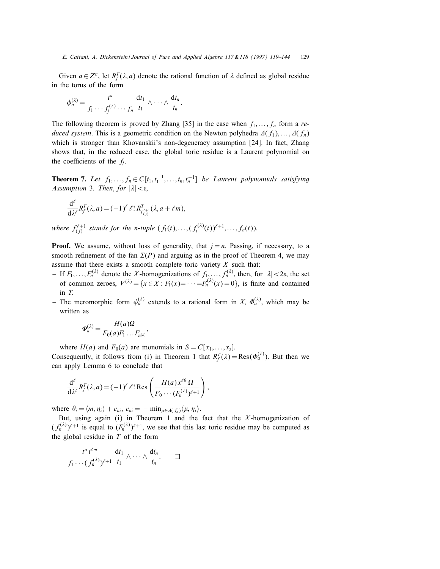Given  $a \in \mathbb{Z}^n$ , let  $R_f^T(\lambda, a)$  denote the rational function of  $\lambda$  defined as global residue in the torus of the form

$$
\phi_a^{(\lambda)} = \frac{t^a}{f_1 \cdots f_j^{(\lambda)} \cdots f_n} \frac{dt_1}{t_1} \wedge \cdots \wedge \frac{dt_n}{t_n}.
$$

The following theorem is proved by Zhang [35] in the case when  $f_1, \ldots, f_n$  form a reduced system. This is a geometric condition on the Newton polyhedra  $\Delta(f_1), \ldots, \Delta(f_n)$ which is stronger than Khovanskii's non-degeneracy assumption [24]. In fact, Zhang shows that, in the reduced case, the global toric residue is a Laurent polynomial on the coefficients of the  $f_i$ .

**Theorem 7.** Let  $f_1, \ldots, f_n \in C[t_1, t_1^{-1}, \ldots, t_n, t_n^{-1}]$  be Laurent polynomials satisfying Assumption 3. Then, for  $|\lambda| < \varepsilon$ ,

$$
\frac{\mathrm{d}^{\ell}}{\mathrm{d}\lambda^{\ell}}R_f^T(\lambda,a) = (-1)^{\ell} \ell! \, R_{f_{(j)}^{\ell+1}}^T(\lambda,a+\ell m),
$$

where  $f_{(j)}^{\ell+1}$  stands for the n-tuple  $(f_1(t),..., (f_j^{(\lambda)}(t))^{\ell+1},..., f_n(t)).$ 

**Proof.** We assume, without loss of generality, that  $j = n$ . Passing, if necessary, to a smooth refinement of the fan  $\Sigma(P)$  and arguing as in the proof of Theorem 4, we may assume that there exists a smooth complete toric variety  $X$  such that:

- If  $F_1, \ldots, F_n^{(\lambda)}$  denote the X-homogenizations of  $f_1, \ldots, f_n^{(\lambda)}$ , then, for  $|\lambda| < 2\varepsilon$ , the set of common zeroes,  $V^{(\lambda)} = \{x \in X : F_1(x) = \cdots = F_n^{(\lambda)}(x) = 0\}$ , is finite and contained in T.
- The meromorphic form  $\phi_a^{(\lambda)}$  extends to a rational form in X,  $\Phi_a^{(\lambda)}$ , which may be written as

$$
\Phi_a^{(\lambda)} = \frac{H(a)\Omega}{F_0(a)F_1 \dots F_{n^{(\lambda)}}},
$$

where  $H(a)$  and  $F_0(a)$  are monomials in  $S = C[x_1, \ldots, x_s]$ . Consequently, it follows from (i) in Theorem 1 that  $R_f^T(\lambda) = \text{Res}(\Phi_a^{(\lambda)})$ . But then we can apply Lemma 6 to conclude that

$$
\frac{d^{\ell}}{d\lambda^{\ell}}R_f^T(\lambda, a) = (-1)^{\ell} \ell! \text{ Res}\left(\frac{H(a)x^{\ell\theta} \Omega}{F_0 \cdots (F_n^{(\lambda)})^{\ell+1}}\right),
$$

where  $\theta_i = \langle m, \eta_i \rangle + c_{ni}, c_{ni} = -\min_{\mu \in \Delta(f_n)} \langle \mu, \eta_i \rangle$ .

But, using again (i) in Theorem 1 and the fact that the  $X$ -homogenization of  $(f_n^{(\lambda)})^{\ell+1}$  is equal to  $(f_n^{(\lambda)})^{\ell+1}$ , we see that this last toric residue may be computed as the global residue in  $T$  of the form

$$
\frac{t^a t^{m}}{f_1 \cdots (f_n^{(\lambda)})^{t+1}} \frac{dt_1}{t_1} \wedge \cdots \wedge \frac{dt_n}{t_n}. \qquad \Box
$$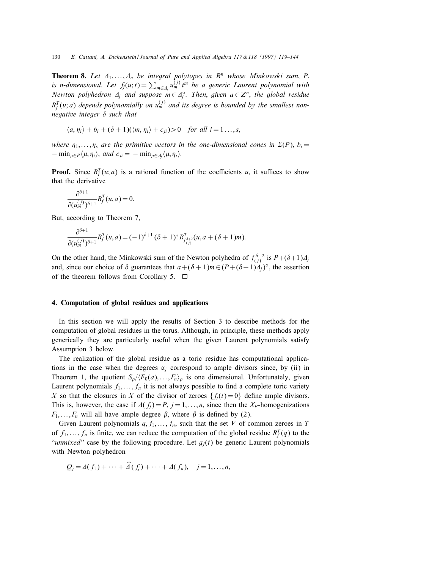**Theorem 8.** Let  $\Delta_1, \ldots, \Delta_n$  be integral polytopes in  $\mathbb{R}^n$  whose Minkowski sum, P, is n-dimensional. Let  $f_j(u; t) = \sum_{m \in \Delta_j} u_m^{(j)} t^m$  be a generic Laurent polynomial with Newton polyhedron  $\Delta_j$  and suppose  $m \in \Delta_j^\circ$ . Then, given  $a \in \mathbb{Z}^n$ , the global residue  $R_f^T(u; a)$  depends polynomially on  $u_m^{(j)}$  and its degree is bounded by the smallest nonnegative integer  $\delta$  such that

$$
\langle a,\eta_i\rangle+b_i+(\delta+1)(\langle m,\eta_i\rangle+c_{ji})>0 \text{ for all } i=1\ldots,s,
$$

where  $\eta_1, \ldots, \eta_s$  are the primitive vectors in the one-dimensional cones in  $\Sigma(P)$ ,  $b_i =$  $-\min_{\mu \in P} \langle \mu, \eta_i \rangle$ , and  $c_{ji} = -\min_{\mu \in \Lambda_i} \langle \mu, \eta_i \rangle$ .

**Proof.** Since  $R_f^T(u; a)$  is a rational function of the coefficients u, it suffices to show that the derivative

$$
\frac{\partial^{\delta+1}}{\partial(u_m^{(j)})^{\delta+1}}R_f^T(u,a)=0.
$$

But, according to Theorem 7,

 $\sim$  1

$$
\frac{\partial^{a+1}}{\partial(u_m^{(j)})^{\delta+1}}R_f^T(u,a) = (-1)^{\delta+1} (\delta+1)! R_{f_{(j)}}^T(u,a+(\delta+1)m).
$$

On the other hand, the Minkowski sum of the Newton polyhedra of  $f_{(j)}^{\delta+2}$  is  $P+(\delta+1)A_j$ and, since our choice of  $\delta$  guarantees that  $a+(\delta+1)m\in (P+(\delta+1)\Delta_i)^{\circ}$ , the assertion of the theorem follows from Corollary 5.  $\Box$ 

#### 4. Computation of global residues and applications

In this section we will apply the results of Section 3 to describe methods for the computation of global residues in the torus. Although, in principle, these methods apply generically they are particularly useful when the given Laurent polynomials satisfy Assumption 3 below.

The realization of the global residue as a toric residue has computational applications in the case when the degrees  $\alpha_i$  correspond to ample divisors since, by (ii) in Theorem 1, the quotient  $S_\rho/(F_0(a), \ldots, F_n)$  is one dimensional. Unfortunately, given Laurent polynomials  $f_1, \ldots, f_n$  it is not always possible to find a complete toric variety X so that the closures in X of the divisor of zeroes  $\{f_i(t) = 0\}$  define ample divisors. This is, however, the case if  $\Delta(f_i) = P$ ,  $j = 1, \ldots, n$ , since then the X<sub>P</sub>-homogenizations  $F_1, \ldots, F_n$  will all have ample degree  $\beta$ , where  $\beta$  is defined by (2).

Given Laurent polynomials  $q, f_1, \ldots, f_n$ , such that the set V of common zeroes in T of  $f_1, \ldots, f_n$  is finite, we can reduce the computation of the global residue  $R_f^T(q)$  to the "unmixed" case by the following procedure. Let  $g_i(t)$  be generic Laurent polynomials with Newton polyhedron

$$
Q_j = \Delta(f_1) + \cdots + \Delta(f_j) + \cdots + \Delta(f_n), \quad j = 1, \ldots, n,
$$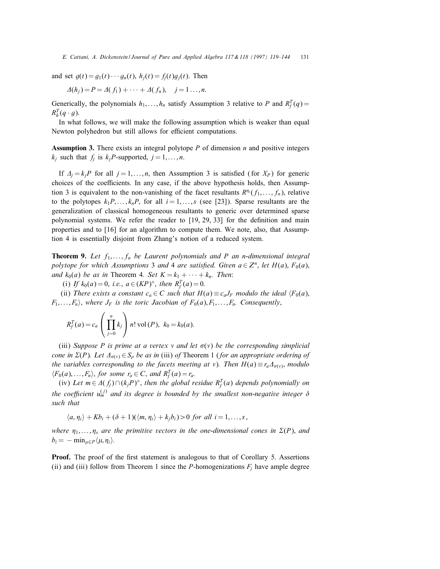and set  $g(t) = g_1(t) \cdots g_n(t)$ ,  $h_i(t) = f_i(t)g_i(t)$ . Then

$$
\Delta(h_j) = P = \Delta(f_1) + \cdots + \Delta(f_n), \quad j = 1 \ldots, n.
$$

Generically, the polynomials  $h_1, \ldots, h_n$  satisfy Assumption 3 relative to P and  $R_f^T(q)$  =  $R_h^T(q \cdot g)$ .

In what follows, we will make the following assumption which is weaker than equal Newton polyhedron but still allows for efficient computations.

**Assumption 3.** There exists an integral polytope  $P$  of dimension  $n$  and positive integers  $k_i$  such that  $f_i$  is  $k_i$ P-supported,  $j = 1, \ldots, n$ .

If  $A_j = k_jP$  for all  $j = 1, ..., n$ , then Assumption 3 is satisfied (for  $X_P$ ) for generic choices of the coefficients. In any case, if the above hypothesis holds, then Assumption 3 is equivalent to the non-vanishing of the facet resultants  $R^{\eta_i}(f_1,\ldots,f_n)$ , relative to the polytopes  $k_1P, \ldots, k_nP$ , for all  $i = 1, \ldots, s$  (see [23]). Sparse resultants are the generalization of classical homogeneous resultants to generic over determined sparse polynomial systems. We refer the reader to  $[19, 29, 33]$  for the definition and main properties and to [16] for an algorithm to compute them. We note, also, that Assumption 4 is essentially disjoint from Zhang's notion of a reduced system.

**Theorem 9.** Let  $f_1, \ldots, f_n$  be Laurent polynomials and P an n-dimensional integral polytope for which Assumptions 3 and 4 are satisfied. Given  $a \in \mathbb{Z}^n$ , let  $H(a)$ ,  $F_0(a)$ , and  $k_0(a)$  be as in Theorem 4. Set  $K = k_1 + \cdots + k_n$ . Then:

(i) If  $k_0(a) = 0$ , i.e.,  $a \in (KP)^{\circ}$ , then  $R_f^T(a) = 0$ .

(ii) There exists a constant  $c_a \in C$  such that  $H(a) \equiv c_a J_F$  modulo the ideal  $\langle F_0(a),$  $F_1, \ldots, F_n$ , where  $J_F$  is the toric Jacobian of  $F_0(a), F_1, \ldots, F_n$ . Consequently,

$$
R_f^T(a) = c_a \left( \prod_{j=0}^n k_j \right) n! \text{ vol}(P), k_0 = k_0(a).
$$

(iii) Suppose P is prime at a vertex v and let  $\sigma(v)$  be the corresponding simplicial cone in  $\Sigma(P)$ . Let  $\Delta_{\sigma(v)} \in S_\rho$  be as in (iii) of Theorem 1 (for an appropriate ordering of the variables corresponding to the facets meeting at v). Then  $H(a) \equiv r_a \Delta_{\sigma(v)}$ , modulo  $\langle F_0(a),...,F_n\rangle$ , for some  $r_a \in C$ , and  $R_f^T(a) = r_a$ .

(iv) Let  $m \in \Delta(f_j) \cap (k_j P)^\circ$ , then the global residue  $R_f^T(a)$  depends polynomially on the coefficient  $u_m^{(j)}$  and its degree is bounded by the smallest non-negative integer  $\delta$ such that

 $\langle a, \eta_i \rangle + Kb_i + (\delta + 1)(\langle m, \eta_i \rangle + k_i b_i) > 0$  for all  $i = 1, \ldots, s$ ,

where  $\eta_1, \ldots, \eta_s$  are the primitive vectors in the one-dimensional cones in  $\Sigma(P)$ , and  $b_i = -\min_{\mu \in P} \langle \mu, \eta_i \rangle$ .

**Proof.** The proof of the first statement is analogous to that of Corollary 5. Assertions (ii) and (iii) follow from Theorem 1 since the P-homogenizations  $F_i$  have ample degree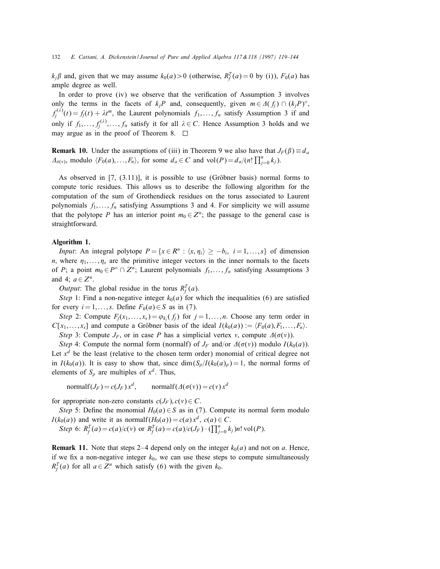$k_j \beta$  and, given that we may assume  $k_0(a) > 0$  (otherwise,  $R_f^T(a) = 0$  by (i)),  $F_0(a)$  has ample degree as well.

In order to prove  $(iv)$  we observe that the verification of Assumption 3 involves only the terms in the facets of  $k_iP$  and, consequently, given  $m \in \Delta(f_i) \cap (k_iP)^\circ$ ;  $f_j^{(\lambda)}(t) = f_j(t) + \lambda t^m$ , the Laurent polynomials  $f_1, \ldots, f_n$  satisfy Assumption 3 if and only if  $f_1, \ldots, f_j^{(\lambda)}, \ldots, f_n$  satisfy it for all  $\lambda \in C$ . Hence Assumption 3 holds and we may argue as in the proof of Theorem 8.  $\Box$ 

**Remark 10.** Under the assumptions of (iii) in Theorem 9 we also have that  $J_F(\beta) \equiv d_a$  $\Delta_{\sigma(\nu)}$ , modulo  $\langle F_0(a),...,F_n\rangle$ , for some  $d_a \in C$  and  $vol(P) = d_a/(n! \prod_{j=0}^n k_j)$ .

As observed in  $[7, (3.11)]$ , it is possible to use (Gröbner basis) normal forms to compute toric residues. This allows us to describe the following algorithm for the computation of the sum of Grothendieck residues on the torus associated to Laurent polynomials  $f_1, \ldots, f_n$  satisfying Assumptions 3 and 4. For simplicity we will assume that the polytope P has an interior point  $m_0 \in \mathbb{Z}^n$ ; the passage to the general case is straightforward.

## Algorithm 1.

*Input*: An integral polytope  $P = \{x \in \mathbb{R}^n : \langle x, \eta_i \rangle \geq -b_i, i = 1, \ldots, s\}$  of dimension n, where  $\eta_1, \ldots, \eta_s$  are the primitive integer vectors in the inner normals to the facets of P; a point  $m_0 \in P^{\circ} \cap Z^n$ ; Laurent polynomials  $f_1, \ldots, f_n$  satisfying Assumptions 3 and 4;  $a \in \mathbb{Z}^n$ .

*Output*: The global residue in the torus  $R_f^T(a)$ .

Step 1: Find a non-negative integer  $k_0(a)$  for which the inequalities (6) are satisfied for every  $i = 1, \ldots, s$ . Define  $F_0(a) \in S$  as in (7).

Step 2: Compute  $F_i(x_1,...,x_s) = \varphi_{k_i}(f_i)$  for  $j = 1,...,n$ . Choose any term order in  $C[x_1, \ldots, x_s]$  and compute a Gröbner basis of the ideal  $I(k_0(a)) := \langle F_0(a), F_1, \ldots, F_n \rangle$ .

Step 3: Compute  $J_F$ , or in case P has a simplicial vertex v, compute  $\Delta(\sigma(v))$ .

Step 4: Compute the normal form (normalf) of  $J_F$  and/or  $\Delta(\sigma(v))$  modulo  $I(k_0(a))$ . Let  $x<sup>d</sup>$  be the least (relative to the chosen term order) monomial of critical degree not in  $I(k_0(a))$ . It is easy to show that, since  $\dim(S_\rho/I(k_0(a)) = 1$ , the normal forms of elements of  $S_{\rho}$  are multiples of  $x^d$ . Thus,

normalf $(J_F) = c(J_F) x^d$ , normalf $(\Delta(\sigma(v)) = c(v) x^d$ 

for appropriate non-zero constants  $c(J_F)$ ,  $c(v) \in C$ .

Step 5: Define the monomial  $H_0(a) \in S$  as in (7). Compute its normal form modulo  $I(k_0(a))$  and write it as normalf $(H_0(a)) = c(a) x^d$ ,  $c(a) \in C$ .

Step 6:  $R_f^T(a) = c(a)/c(v)$  or  $R_f^T(a) = c(a)/c(J_F) \cdot (\prod_{j=0}^n k_j)n!$  vol(P).

**Remark 11.** Note that steps 2–4 depend only on the integer  $k_0(a)$  and not on a. Hence, if we fix a non-negative integer  $k_0$ , we can use these steps to compute simultaneously  $R_f^T(a)$  for all  $a \in Z^n$  which satisfy (6) with the given  $k_0$ .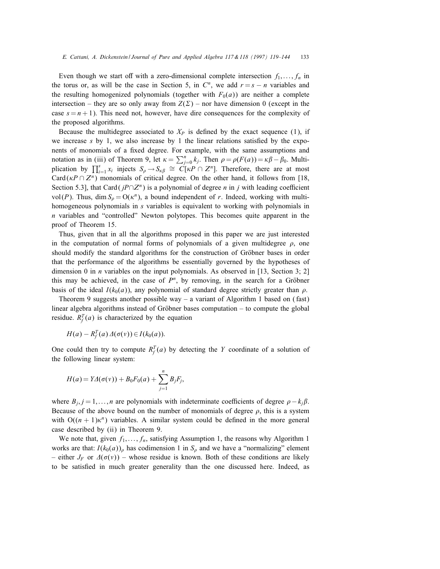Even though we start off with a zero-dimensional complete intersection  $f_1, \ldots, f_n$  in the torus or, as will be the case in Section 5, in  $C<sup>n</sup>$ , we add  $r = s - n$  variables and the resulting homogenized polynomials (together with  $F_0(a)$ ) are neither a complete intersection – they are so only away from  $Z(\Sigma)$  – nor have dimension 0 (except in the case  $s = n + 1$ ). This need not, however, have dire consequences for the complexity of the proposed algorithms.

Because the multidegree associated to  $X_P$  is defined by the exact sequence (1), if we increase  $s$  by 1, we also increase by 1 the linear relations satisfied by the exponents of monomials of a fixed degree. For example, with the same assumptions and notation as in (iii) of Theorem 9, let  $\kappa = \sum_{j=0}^{n} k_j$ . Then  $\rho = \rho(F(a)) = \kappa \beta - \beta_0$ . Multiplication by  $\prod_{i=1}^s x_i$  injects  $S_\rho \to S_{\kappa\beta} \cong C[\kappa P \cap Z^n]$ . Therefore, there are at most Card ( $\kappa P \cap Z^n$ ) monomials of critical degree. On the other hand, it follows from [18, Section 5.3], that Card ( $jP∩Z<sup>n</sup>$ ) is a polynomial of degree n in j with leading coefficient vol(P). Thus, dim  $S_\rho = O(\kappa^n)$ , a bound independent of r. Indeed, working with multihomogeneous polynomials in s variables is equivalent to working with polynomials in n variables and "controlled" Newton polytopes. This becomes quite apparent in the proof of Theorem 15.

Thus, given that in all the algorithms proposed in this paper we are just interested in the computation of normal forms of polynomials of a given multidegree  $\rho$ , one should modify the standard algorithms for the construction of Gröbner bases in order that the performance of the algorithms be essentially governed by the hypotheses of dimension 0 in *n* variables on the input polynomials. As observed in [13, Section 3; 2] this may be achieved, in the case of  $P<sup>n</sup>$ , by removing, in the search for a Gröbner basis of the ideal  $I(k_0(a))$ , any polynomial of standard degree strictly greater than  $\rho$ .

Theorem 9 suggests another possible way – a variant of Algorithm 1 based on (fast) linear algebra algorithms instead of Gröbner bases computation  $-$  to compute the global residue.  $R_f^T(a)$  is characterized by the equation

$$
H(a) - R_f^T(a) \Delta(\sigma(v)) \in I(k_0(a)).
$$

One could then try to compute  $R_f^T(a)$  by detecting the Y coordinate of a solution of the following linear system:

$$
H(a) = YA(\sigma(v)) + B_0F_0(a) + \sum_{j=1}^n B_jF_j,
$$

where  $B_j$ ;  $j = 1, \ldots, n$  are polynomials with indeterminate coefficients of degree  $\rho - k_j \beta$ . Because of the above bound on the number of monomials of degree  $\rho$ , this is a system with  $O((n + 1)\kappa^n)$  variables. A similar system could be defined in the more general case described by (ii) in Theorem 9.

We note that, given  $f_1, \ldots, f_n$ , satisfying Assumption 1, the reasons why Algorithm 1 works are that:  $I(k_0(a))_\rho$  has codimension 1 in  $S_\rho$  and we have a "normalizing" element – either  $J_F$  or  $\Delta(\sigma(v))$  – whose residue is known. Both of these conditions are likely to be satisfied in much greater generality than the one discussed here. Indeed, as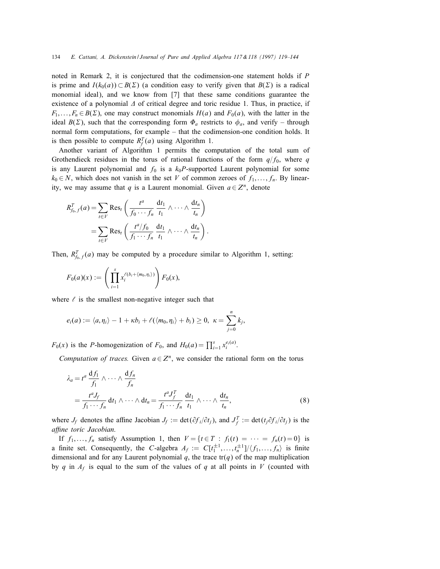noted in Remark 2, it is conjectured that the codimension-one statement holds if P is prime and  $I(k_0(a)) \subset B(\Sigma)$  (a condition easy to verify given that  $B(\Sigma)$  is a radical monomial ideal), and we know from [7] that these same conditions guarantee the existence of a polynomial  $\Delta$  of critical degree and toric residue 1. Thus, in practice, if  $F_1, \ldots, F_n \in B(\Sigma)$ , one may construct monomials  $H(a)$  and  $F_0(a)$ , with the latter in the ideal  $B(\Sigma)$ , such that the corresponding form  $\Phi_a$  restricts to  $\phi_a$ , and verify – through normal form computations, for example – that the codimension-one condition holds. It is then possible to compute  $R_f^T(a)$  using Algorithm 1.

Another variant of Algorithm 1 permits the computation of the total sum of Grothendieck residues in the torus of rational functions of the form  $q/f_0$ , where q is any Laurent polynomial and  $f_0$  is a  $k_0P$ -supported Laurent polynomial for some  $k_0 \in N$ , which does not vanish in the set V of common zeroes of  $f_1, \ldots, f_n$ . By linearity, we may assume that q is a Laurent monomial. Given  $a \in \mathbb{Z}^n$ , denote

$$
R_{f_0,f}^T(a) = \sum_{t \in V} \text{Res}_t \left( \frac{t^a}{f_0 \cdots f_n} \frac{dt_1}{t_1} \wedge \cdots \wedge \frac{dt_n}{t_n} \right)
$$
  
= 
$$
\sum_{t \in V} \text{Res}_t \left( \frac{t^a/f_0}{f_1 \cdots f_n} \frac{dt_1}{t_1} \wedge \cdots \wedge \frac{dt_n}{t_n} \right).
$$

Then,  $R_{f_0,f}^T(a)$  may be computed by a procedure similar to Algorithm 1, setting:

$$
F_0(a)(x) := \left(\prod_{i=1}^s x_i^{\ell(b_i + \langle m_0, \eta_i \rangle)}\right) F_0(x),
$$

where  $\ell$  is the smallest non-negative integer such that

$$
e_i(a):=\langle a,\eta_i\rangle-1+\kappa b_i+\ell(\langle m_0,\eta_i\rangle+b_i)\geq 0,\ \kappa=\sum_{j=0}^n k_j,
$$

 $F_0(x)$  is the *P*-homogenization of  $F_0$ , and  $H_0(a) = \prod_{i=1}^s x_i^{e_i(a)}$ .

Computation of traces. Given  $a \in \mathbb{Z}^n$ , we consider the rational form on the torus

$$
\lambda_a = t^a \frac{df_1}{f_1} \wedge \cdots \wedge \frac{df_n}{f_n}
$$
\n
$$
= \frac{t^a J_f}{f_1 \cdots f_n} dt_1 \wedge \cdots \wedge dt_n = \frac{t^a J_f^T}{f_1 \cdots f_n} \frac{dt_1}{t_1} \wedge \cdots \wedge \frac{dt_n}{t_n},
$$
\n(8)

where  $J_f$  denotes the affine Jacobian  $J_f := \det(\partial f_i/\partial t_j)$ , and  $J_f^T := \det(t_j \partial f_i/\partial t_j)$  is the affine toric Jacobian.

If  $f_1, \ldots, f_n$  satisfy Assumption 1, then  $V = \{t \in T : f_1(t) = \cdots = f_n(t) = 0\}$  is a finite set. Consequently, the C-algebra  $A_f := C[t_1^{\pm 1},..., t_n^{\pm 1}]/\langle f_1,..., f_n \rangle$  is finite dimensional and for any Laurent polynomial q, the trace  $tr(q)$  of the map multiplication by q in  $A_f$  is equal to the sum of the values of q at all points in V (counted with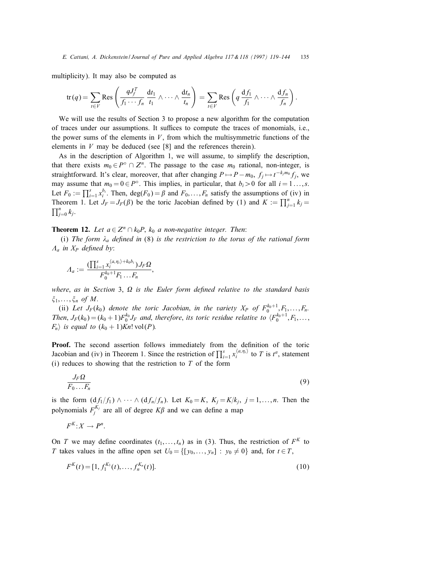multiplicity). It may also be computed as

$$
\operatorname{tr}(q) = \sum_{t \in V} \operatorname{Res} \left( \frac{qJ_f^T}{f_1 \cdots f_n} \frac{dt_1}{t_1} \wedge \cdots \wedge \frac{dt_n}{t_n} \right) = \sum_{t \in V} \operatorname{Res} \left( q \frac{df_1}{f_1} \wedge \cdots \wedge \frac{df_n}{f_n} \right)
$$

:

We will use the results of Section 3 to propose a new algorithm for the computation of traces under our assumptions. It suffices to compute the traces of monomials, i.e., the power sums of the elements in  $V$ , from which the multisymmetric functions of the elements in  $V$  may be deduced (see [8] and the references therein).

As in the description of Algorithm 1, we will assume, to simplify the description, that there exists  $m_0 \in P^{\circ} \cap Z^n$ . The passage to the case  $m_0$  rational, non-integer, is straightforward. It's clear, moreover, that after changing  $P \mapsto P - m_0$ ,  $f_j \mapsto t^{-k_j m_0} f_j$ , we may assume that  $m_0 = 0 \in P^\circ$ . This implies, in particular, that  $b_i > 0$  for all  $i = 1 \ldots, s$ . Let  $F_0 := \prod_{i=1}^s x_i^{b_i}$ . Then,  $deg(F_0) = \beta$  and  $F_0, \ldots, F_n$  satisfy the assumptions of (iv) in Theorem 1. Let  $J_F = J_F(\beta)$  be the toric Jacobian defined by (1) and  $K := \prod_{j=1}^n k_j = \prod_{j=1}^n k_j$ .  $\prod_{j=0}^n k_j$ .

**Theorem 12.** Let  $a \in \mathbb{Z}^n \cap k_0P$ ,  $k_0$  a non-negative integer. Then:

(i) The form  $\lambda_a$  defined in (8) is the restriction to the torus of the rational form  $A_a$  in  $X_P$  defined by:

$$
A_a := \frac{(\prod_{i=1}^s x_i^{\langle a, \eta_i \rangle + k_0 b_i}) J_F \Omega}{F_0^{k_0+1} F_1 \dots F_n},
$$

where, as in Section 3,  $\Omega$  is the Euler form defined relative to the standard basis  $\xi_1, \ldots, \xi_n$  of M.

(ii) Let  $J_F(k_0)$  denote the toric Jacobian, in the variety  $X_P$  of  $F_0^{k_0+1}, F_1, \ldots, F_n$ . Then,  $J_F(k_0) = (k_0 + 1)F_0^{k_0}J_F$  and, therefore, its toric residue relative to  $\langle F_0^{k_0+1}, F_1, \ldots, F_n^{k_n} \rangle$  $F_n$ ) is equal to  $(k_0 + 1)$ Kn! vol(P).

Proof. The second assertion follows immediately from the definition of the toric Jacobian and (iv) in Theorem 1. Since the restriction of  $\prod_{i=1}^s x_i^{\langle a,\eta_i\rangle}$  to T is  $t^a$ , statement (i) reduces to showing that the restriction to  $T$  of the form

$$
\frac{J_F \Omega}{F_0 \dots F_n} \tag{9}
$$

is the form  $(df_1/f_1) \wedge \cdots \wedge (df_n/f_n)$ . Let  $K_0 = K$ ,  $K_j = K/k_j$ ,  $j = 1, ..., n$ . Then the polynomials  $F_j^{K_j}$  are all of degree  $K\beta$  and we can define a map

 $F^K$ :  $X \to P^n$ .

On T we may define coordinates  $(t_1, \ldots, t_n)$  as in (3). Thus, the restriction of  $F^K$  to T takes values in the affine open set  $U_0 = \{ [y_0, \ldots, y_n] : y_0 \neq 0 \}$  and, for  $t \in T$ ,

$$
F^K(t) = [1, f_1^{K_1}(t), \dots, f_n^{K_n}(t)].
$$
\n(10)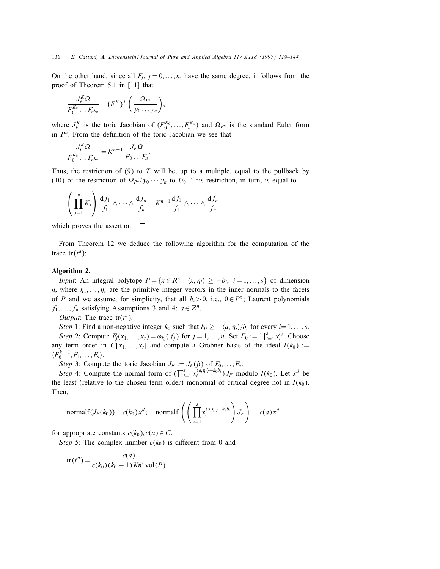On the other hand, since all  $F_j$ ,  $j = 0, \ldots, n$ , have the same degree, it follows from the proof of Theorem 5.1 in [11] that

$$
\frac{J_F^K \Omega}{F_0^{K_0} \dots F_{n^{K_n}}} = (F^K)^* \left( \frac{\Omega_{P^n}}{y_0 \dots y_n} \right),
$$

where  $J_F^K$  is the toric Jacobian of  $(F_0^{K_0},...,F_n^{K_n})$  and  $\Omega_{P^n}$  is the standard Euler form in  $P<sup>n</sup>$ . From the definition of the toric Jacobian we see that

$$
\frac{J_F^K \Omega}{F_0^{K_0} \dots F_{n^{K_n}}} = K^{n-1} \frac{J_F \Omega}{F_0 \dots F_n}.
$$

Thus, the restriction of  $(9)$  to T will be, up to a multiple, equal to the pullback by (10) of the restriction of  $\Omega_{P^n}/y_0 \cdots y_n$  to  $U_0$ . This restriction, in turn, is equal to

$$
\left(\prod_{j=1}^n K_j\right) \frac{\mathrm{d} f_1}{f_1} \wedge \cdots \wedge \frac{\mathrm{d} f_n}{f_n} = K^{n-1} \frac{\mathrm{d} f_1}{f_1} \wedge \cdots \wedge \frac{\mathrm{d} f_n}{f_n}
$$

which proves the assertion.  $\Box$ 

From Theorem 12 we deduce the following algorithm for the computation of the trace  $tr(t^a)$ :

#### Algorithm 2.

*Input*: An integral polytope  $P = \{x \in \mathbb{R}^n : \langle x, \eta_i \rangle \geq -b_i, i = 1, ..., s\}$  of dimension n, where  $\eta_1, \ldots, \eta_s$  are the primitive integer vectors in the inner normals to the facets of P and we assume, for simplicity, that all  $b_i > 0$ , i.e.,  $0 \in P^\circ$ ; Laurent polynomials  $f_1, \ldots, f_n$  satisfying Assumptions 3 and 4;  $a \in \mathbb{Z}^n$ .

*Output*: The trace  $tr(t^a)$ .

Step 1: Find a non-negative integer  $k_0$  such that  $k_0 \geq -\langle a, \eta_i \rangle/b_i$  for every  $i=1,\ldots,s$ . Step 2: Compute  $F_j(x_1,\ldots,x_s) = \varphi_{k_j}(f_j)$  for  $j = 1,\ldots,n$ . Set  $F_0 := \prod_{i=1}^s x_i^{b_i}$ . Choose any term order in  $C[x_1, \ldots, x_s]$  and compute a Gröbner basis of the ideal  $I(k_0) :=$  $\langle F_0^{k_0+1}, F_1, \ldots, F_n \rangle$ .

Step 3: Compute the toric Jacobian  $J_F := J_F(\beta)$  of  $F_0, \ldots, F_n$ .

Step 4: Compute the normal form of  $(\prod_{i=1}^{s} x_i^{\langle a, \eta_i \rangle + k_0 b_i}) J_F$  modulo  $I(k_0)$ . Let  $x^d$  be the least (relative to the chosen term order) monomial of critical degree not in  $I(k_0)$ . Then;

normalf
$$
(J_F(k_0)) = c(k_0) x^d
$$
; normalf $\left(\left(\prod_{i=1}^s x_i^{\langle a,\eta_i\rangle + k_0 b_i}\right) J_F\right) = c(a) x^d$ 

:

for appropriate constants  $c(k_0), c(a) \in C$ .

Step 5: The complex number  $c(k_0)$  is different from 0 and

$$
\operatorname{tr}(t^a) = \frac{c(a)}{c(k_0)(k_0+1) Kn! \operatorname{vol}(P)}
$$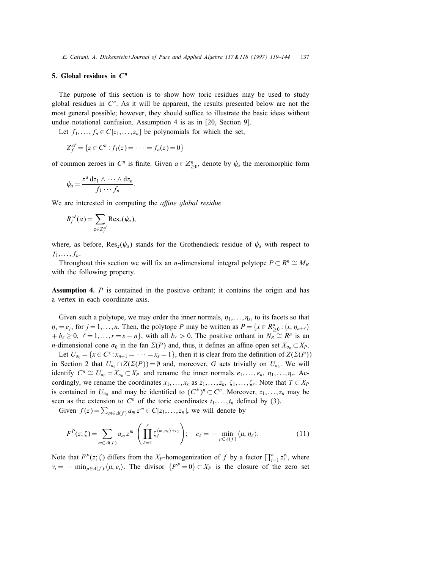# 5. Global residues in  $C<sup>n</sup>$

The purpose of this section is to show how toric residues may be used to study global residues in  $C<sup>n</sup>$ . As it will be apparent, the results presented below are not the most general possible; however, they should suffice to illustrate the basic ideas without undue notational confusion. Assumption 4 is as in [20, Section 9].

Let  $f_1, \ldots, f_n \in C[z_1, \ldots, z_n]$  be polynomials for which the set,

$$
Z_f^{\mathscr{A}} = \{ z \in C^n : f_1(z) = \cdots = f_n(z) = 0 \}
$$

of common zeroes in  $C^n$  is finite. Given  $a \in Z_{\geq 0}^n$ , denote by  $\psi_a$  the meromorphic form

$$
\psi_a = \frac{z^a \, dz_1 \wedge \cdots \wedge dz_n}{f_1 \cdots f_n}.
$$

We are interested in computing the *affine global residue* 

$$
R_f^{\mathscr{A}}(a) = \sum_{z \in Z_f^{\mathscr{A}}} \text{Res}_z(\psi_a),
$$

where, as before,  $\text{Res}_z(\psi_a)$  stands for the Grothendieck residue of  $\psi_a$  with respect to  $f_1,\ldots,f_n.$ 

Throughout this section we will fix an *n*-dimensional integral polytope  $P \subset R^n \cong M_R$ with the following property.

Assumption 4. P is contained in the positive orthant; it contains the origin and has a vertex in each coordinate axis.

Given such a polytope, we may order the inner normals,  $\eta_1, \ldots, \eta_s$ , to its facets so that  $\eta_j = e_j$ , for  $j = 1, ..., n$ . Then, the polytope P may be written as  $P = \{x \in R_{\geq 0}^n : \langle x, \eta_{n+\ell} \rangle\}$  $+ b_{\ell} \geq 0, \ell = 1, \ldots, r = s - n$ , with all  $b_{\ell} > 0$ . The positive orthant in  $N_R \cong R^n$  is an *n*-dimensional cone  $\sigma_0$  in the fan  $\Sigma(P)$  and, thus, it defines an affine open set  $X_{\sigma_0} \subset X_P$ .

Let  $U_{\sigma_0} = \{x \in C^s : x_{n+1} = \cdots = x_s = 1\}$ , then it is clear from the definition of  $Z(\Sigma(P))$ in Section 2 that  $U_{\sigma_0} \cap Z(\Sigma(P)) = \emptyset$  and, moreover, G acts trivially on  $U_{\sigma_0}$ . We will identify  $C^n \cong U_{\sigma_0} = X_{\sigma_0} \subset X_P$  and rename the inner normals  $e_1, \ldots, e_n, \eta_1, \ldots, \eta_r$ . Accordingly, we rename the coordinates  $x_1, \ldots, x_s$  as  $z_1, \ldots, z_n$ ,  $\zeta_1, \ldots, \zeta_r$ . Note that  $T \subset X_P$ is contained in  $U_{\sigma_0}$  and may be identified to  $(C^*)^n \subset C^n$ . Moreover,  $z_1, \ldots, z_n$  may be seen as the extension to  $C^n$  of the toric coordinates  $t_1, \ldots, t_n$  defined by (3).

Given  $f(z) = \sum_{m \in \Delta(f)} a_m z^m \in C[z_1, \ldots, z_n]$ , we will denote by

$$
F^{P}(z;\zeta) = \sum_{m \in \Delta(f)} a_m z^m \left( \prod_{\ell=1}^r \zeta_{\ell}^{\langle m,\eta_{\ell} \rangle + c_{\ell}} \right); \quad c_{\ell} = - \min_{\mu \in \Delta(f)} \langle \mu, \eta_{\ell} \rangle. \tag{11}
$$

Note that  $F^p(z;\zeta)$  differs from the X<sub>P</sub>-homogenization of f by a factor  $\prod_{i=1}^n z_i^{v_i}$ , where  $v_i = - \min_{\mu \in \Delta(f)} \langle \mu, e_i \rangle$ . The divisor  $\{F^P = 0\} \subset X_P$  is the closure of the zero set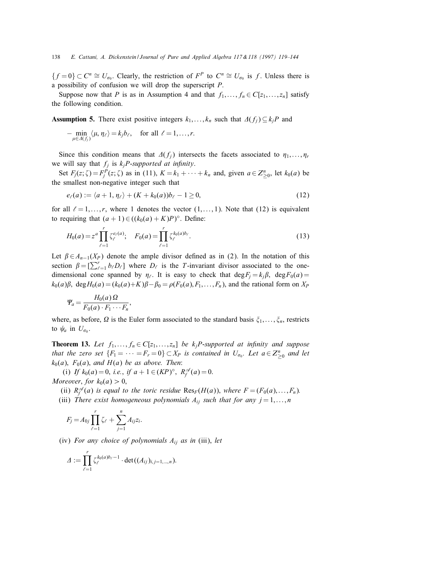${f = 0}$  ⊂  $C^n \cong U_{\sigma_0}$ . Clearly, the restriction of  $F^P$  to  $C^n \cong U_{\sigma_0}$  is f. Unless there is a possibility of confusion we will drop the superscript P.

Suppose now that P is as in Assumption 4 and that  $f_1, \ldots, f_n \in C[z_1, \ldots, z_n]$  satisfy the following condition.

**Assumption 5.** There exist positive integers  $k_1, \ldots, k_n$  such that  $\Delta(f_i) \subseteq k_iP$  and

$$
-\min_{\mu\in\Lambda(f_j)}\langle\mu,\eta_\ell\rangle=k_jb_\ell,\quad\text{for all }\ell=1,\ldots,r.
$$

Since this condition means that  $\Delta(f_i)$  intersects the facets associated to  $\eta_1, \ldots, \eta_r$ we will say that  $f_i$  is  $k_iP$ -supported at infinity.

Set  $F_j(z;\zeta) = F_j^P(z;\zeta)$  as in (11),  $K = k_1 + \cdots + k_n$  and, given  $a \in Z_{\geq 0}^n$ , let  $k_0(a)$  be the smallest non-negative integer such that

$$
e_{\ell}(a) := \langle a+1, \eta_{\ell} \rangle + (K + k_0(a))b_{\ell} - 1 \ge 0, \tag{12}
$$

for all  $\ell = 1, \ldots, r$ , where 1 denotes the vector  $(1, \ldots, 1)$ . Note that (12) is equivalent to requiring that  $(a + 1) \in ((k_0(a) + K)P)^\circ$ . Define:

$$
H_0(a) = z^a \prod_{\ell=1}^r \zeta_{\ell}^{e_{\ell}(a)}; \quad F_0(a) = \prod_{\ell=1}^r \zeta_{\ell}^{k_0(a)b_{\ell}}.
$$
 (13)

Let  $\beta \in A_{n-1}(X_P)$  denote the ample divisor defined as in (2). In the notation of this section  $\beta = \left[\sum_{\ell=1}^r b_\ell D_\ell\right]$  where  $D_\ell$  is the T-invariant divisor associated to the onedimensional cone spanned by  $\eta_{\ell}$ . It is easy to check that  $\deg F_j = k_j \beta$ ,  $\deg F_0(a) =$  $k_0(a)\beta$ , deg $H_0(a) = (k_0(a)+K)\beta - \beta_0 = \rho(F_0(a), F_1, \ldots, F_n)$ , and the rational form on  $X_P$ 

$$
\Psi_a = \frac{H_0(a)\,\Omega}{F_0(a)\cdot F_1\cdots F_n},
$$

where, as before,  $\Omega$  is the Euler form associated to the standard basis  $\xi_1, \ldots, \xi_n$ , restricts to  $\psi_a$  in  $U_{\sigma_0}$ .

**Theorem 13.** Let  $f_1, \ldots, f_n \in C[z_1, \ldots, z_n]$  be  $k_jP$ -supported at infinity and suppose that the zero set  ${F_1 = \cdots = F_r = 0} \subset X_P$  is contained in  $U_{\sigma_0}$ . Let  $a \in Z^n_{\geq 0}$  and let  $k_0(a)$ ,  $F_0(a)$ , and  $H(a)$  be as above. Then:

(i) If  $k_0(a) = 0$ , i.e., if  $a + 1 \in (KP)^{\circ}$ ,  $R_f^{\mathscr{A}}(a) = 0$ . Moreover, for  $k_0(a) > 0$ ,

- (ii)  $R_f^{\mathscr{A}}(a)$  is equal to the toric residue  $\text{Res}_F(H(a))$ , where  $F = (F_0(a),...,F_n)$ .
- (iii) There exist homogeneous polynomials  $A_{ij}$  such that for any  $j = 1, \ldots, n$

$$
F_j = A_{0j} \prod_{\ell=1}^r \zeta_{\ell} + \sum_{j=1}^n A_{ij} z_i.
$$

(iv) For any choice of polynomials  $A_{ij}$  as in (iii), let

$$
\varDelta := \prod_{\ell=1}^r \zeta_{\ell}^{k_0(a)b_{\ell}-1} \cdot \det((A_{ij})_{i,j=1,\ldots,n}).
$$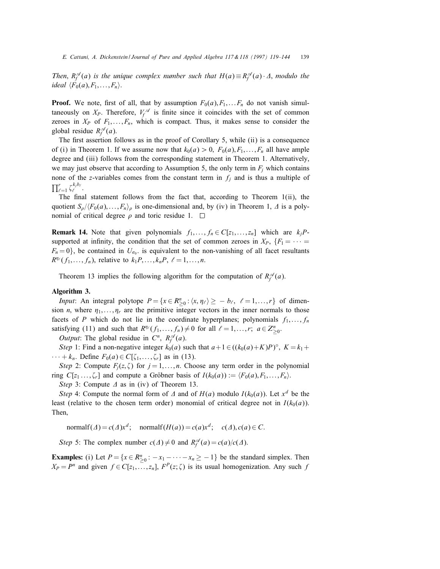Then,  $R_f^{\mathscr{A}}(a)$  is the unique complex number such that  $H(a) \equiv R_f^{\mathscr{A}}(a) \cdot \Delta$ , modulo the ideal  $\langle F_0(a), F_1, \ldots, F_n \rangle$ .

**Proof.** We note, first of all, that by assumption  $F_0(a), F_1, \ldots, F_n$  do not vanish simultaneously on  $X_P$ . Therefore,  $V_f^{\mathscr{A}}$  is finite since it coincides with the set of common zeroes in  $X_P$  of  $F_1, \ldots, F_n$ , which is compact. Thus, it makes sense to consider the global residue  $R_f^{\mathscr{A}}(a)$ .

The first assertion follows as in the proof of Corollary 5, while  $(ii)$  is a consequence of (i) in Theorem 1. If we assume now that  $k_0(a) > 0$ ,  $F_0(a), F_1, \ldots, F_n$  all have ample degree and (iii) follows from the corresponding statement in Theorem 1. Alternatively, we may just observe that according to Assumption 5, the only term in  $F_i$  which contains none of the z-variables comes from the constant term in  $f_j$  and is thus a multiple of  $\prod_{\ell=1}^r \zeta_{\ell}^{k_j b_{\ell}}.$ 

The final statement follows from the fact that, according to Theorem  $1(ii)$ , the quotient  $S_o/(F_0(a), \ldots, F_n)$  is one-dimensional and, by (iv) in Theorem 1,  $\Delta$  is a polynomial of critical degree  $\rho$  and toric residue 1.  $\Box$ 

**Remark 14.** Note that given polynomials  $f_1, \ldots, f_n \in C[z_1, \ldots, z_n]$  which are  $k_j P$ supported at infinity, the condition that the set of common zeroes in  $X_P$ ,  $\{F_1 = \cdots =$  $F_n = 0$ , be contained in  $U_{\sigma_0}$  is equivalent to the non-vanishing of all facet resultants  $R^{\eta_{\ell}}(f_1,\ldots,f_n)$ , relative to  $k_1P,\ldots,k_nP, \ell=1,\ldots,n$ .

Theorem 13 implies the following algorithm for the computation of  $R_f^{\mathscr{A}}(a)$ .

# Algorithm 3.

*Input*: An integral polytope  $P = \{x \in R_{\geq 0}^n : \langle x, \eta_\ell \rangle \geq -b_\ell, \ell = 1, ..., r\}$  of dimension *n*, where  $\eta_1, \ldots, \eta_r$  are the primitive integer vectors in the inner normals to those facets of P which do not lie in the coordinate hyperplanes; polynomials  $f_1, \ldots, f_n$ satisfying (11) and such that  $R^{n_{\ell}}(f_1, ..., f_n) \neq 0$  for all  $\ell = 1, ..., r; a \in Z_{\geq 0}^n$ .

*Output*: The global residue in  $C^n$ ,  $R_f^{\mathcal{A}}(a)$ .

Step 1: Find a non-negative integer  $k_0(a)$  such that  $a+1 \in ((k_0(a)+K)P)^\circ, K = k_1 +$  $\cdots + k_n$ . Define  $F_0(a) \in C[\zeta_1, \ldots, \zeta_r]$  as in (13).

Step 2: Compute  $F_j(z, \zeta)$  for  $j = 1, ..., n$ . Choose any term order in the polynomial ring  $C[z_1 \ldots, \zeta_r]$  and compute a Gröbner basis of  $I(k_0(a)) := \langle F_0(a), F_1, \ldots, F_n \rangle$ .

Step 3: Compute  $\Delta$  as in (iv) of Theorem 13.

Step 4: Compute the normal form of  $\Delta$  and of  $H(a)$  modulo  $I(k_0(a))$ . Let  $x^d$  be the least (relative to the chosen term order) monomial of critical degree not in  $I(k_0(a))$ . Then;

normalf( $\Delta$ ) = c( $\Delta$ )x<sup>d</sup>; normalf( $H(a)$ ) = c(a)x<sup>d</sup>; c( $\Delta$ ), c(a)  $\in$  C.

Step 5: The complex number  $c(\Delta) \neq 0$  and  $R_f^{\mathscr{A}}(a) = c(a)/c(\Delta)$ .

**Examples:** (i) Let  $P = \{x \in R_{\geq 0}^n : -x_1 - \cdots - x_n \geq -1\}$  be the standard simplex. Then  $X_P = P^n$  and given  $f \in C[z_1, \ldots, z_n]$ ,  $F^P(z; \zeta)$  is its usual homogenization. Any such f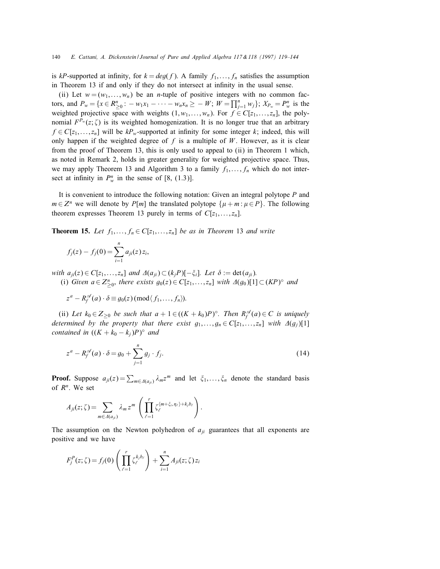is kP-supported at infinity, for  $k = deg(f)$ . A family  $f_1, \ldots, f_n$  satisfies the assumption in Theorem 13 if and only if they do not intersect at infinity in the usual sense.

(ii) Let  $w = (w_1, \ldots, w_n)$  be an *n*-tuple of positive integers with no common factors, and  $P_w = \{x \in R_{\geq 0}^n : -w_1x_1 - \cdots - w_nx_n \geq -W; W = \prod_{j=1}^n w_j\}; X_{P_w} = P_w^n$  is the weighted projective space with weights  $(1, w_1, \ldots, w_n)$ . For  $f \in C[z_1, \ldots, z_n]$ , the polynomial  $F^{P_w}(z;\zeta)$  is its weighted homogenization. It is no longer true that an arbitrary  $f \in C[z_1, \ldots, z_n]$  will be  $kP_w$ -supported at infinity for some integer k; indeed, this will only happen if the weighted degree of  $f$  is a multiple of  $W$ . However, as it is clear from the proof of Theorem 13, this is only used to appeal to (ii) in Theorem 1 which, as noted in Remark 2, holds in greater generality for weighted projective space. Thus, we may apply Theorem 13 and Algorithm 3 to a family  $f_1, \ldots, f_n$  which do not intersect at infinity in  $P_w^n$  in the sense of [8, (1.3)].

It is convenient to introduce the following notation: Given an integral polytope P and  $m \in \mathbb{Z}^n$  we will denote by  $P[m]$  the translated polytope  $\{\mu + m : \mu \in P\}$ . The following theorem expresses Theorem 13 purely in terms of  $C[z_1, \ldots, z_n]$ .

**Theorem 15.** Let  $f_1, \ldots, f_n \in C[z_1, \ldots, z_n]$  be as in Theorem 13 and write

$$
f_j(z) - f_j(0) = \sum_{i=1}^n a_{ji}(z) z_i,
$$

with  $a_{ii}(z) \in C[z_1, \ldots, z_n]$  and  $\Delta(a_{ii}) \subset (k_i P) [-\xi_i]$ . Let  $\delta := \det(a_{ii})$ . (i) Given  $a \in Z_{\geq 0}^n$ , there exists  $g_0(z) \in C[z_1, \ldots, z_n]$  with  $\Delta(g_0)[1] \subset (KP)^\circ$  and

$$
z^{a}-R_{f}^{\mathscr{A}}(a)\cdot\delta\equiv g_{0}(z) \,(\text{mod}\langle f_{1},\ldots,f_{n}\rangle).
$$

(ii) Let  $k_0 \in Z_{\geq 0}$  be such that  $a + 1 \in ((K + k_0)P)^\circ$ . Then  $R_f^{\mathscr{A}}(a) \in C$  is uniquely determined by the property that there exist  $g_1, \ldots, g_n \in C[z_1, \ldots, z_n]$  with  $\Delta(g_j)[1]$ contained in  $((K + k_0 - k_j)P)^\circ$  and

$$
z^{a}-R_{f}^{\mathscr{A}}(a)\cdot\delta=g_{0}+\sum_{j=1}^{n}g_{j}\cdot f_{j}.
$$
 (14)

**Proof.** Suppose  $a_{ji}(z) = \sum_{m \in A(a_{ji})} \lambda_m z^m$  and let  $\xi_1, \ldots, \xi_n$  denote the standard basis of  $R<sup>n</sup>$ . We set

$$
A_{ji}(z;\zeta) = \sum_{m \in \Delta(a_{ji})} \lambda_m z^m \left( \prod_{\ell=1}^r \zeta_{\ell}^{\langle m + \xi_i, \eta_{\ell} \rangle + k_j b_{\ell}} \right).
$$

The assumption on the Newton polyhedron of  $a_{ji}$  guarantees that all exponents are positive and we have

$$
F_j^P(z;\zeta) = f_j(0) \left( \prod_{\ell=1}^r \zeta_{\ell}^{k_j b_{\ell}} \right) + \sum_{i=1}^n A_{ji}(z;\zeta) z_i
$$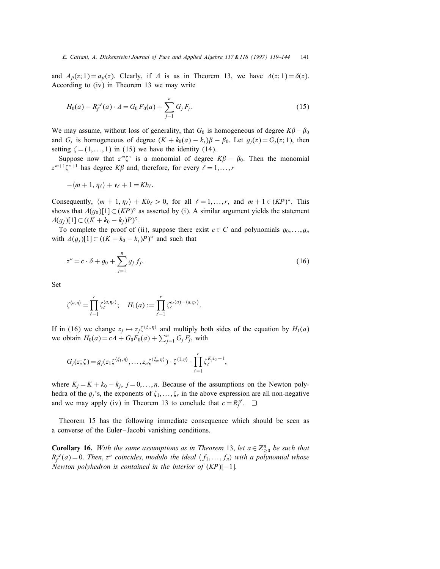and  $A_{ii}(z; 1) = a_{ii}(z)$ . Clearly, if  $\Delta$  is as in Theorem 13, we have  $\Delta(z; 1) = \delta(z)$ . According to (iv) in Theorem 13 we may write

$$
H_0(a) - R_f^{\mathscr{A}}(a) \cdot \Delta = G_0 F_0(a) + \sum_{j=1}^n G_j F_j.
$$
 (15)

We may assume, without loss of generality, that  $G_0$  is homogeneous of degree  $K\beta - \beta_0$ and  $G_i$  is homogeneous of degree  $(K + k_0(a) - k_i)\beta - \beta_0$ . Let  $g_i(z) = G_i(z; 1)$ , then setting  $\zeta = (1, \ldots, 1)$  in (15) we have the identity (14).

Suppose now that  $z^m \zeta^v$  is a monomial of degree  $K\beta - \beta_0$ . Then the monomial  $z^{m+1}\zeta^{v+1}$  has degree  $K\beta$  and, therefore, for every  $\ell = 1, \ldots, r$ 

$$
-\langle m+1,\eta_\ell\rangle +v_\ell+1=Kb_\ell.
$$

Consequently,  $\langle m + 1, \eta_{\ell} \rangle + Kb_{\ell} > 0$ , for all  $\ell = 1, ..., r$ , and  $m + 1 \in (KP)^{\circ}$ . This shows that  $\Delta(g_0)[1] \subset (KP)^\circ$  as asserted by (i). A similar argument yields the statement  $\Delta(g_i)[1] \subset ((K + k_0 - k_j)P)^\circ.$ 

To complete the proof of (ii), suppose there exist  $c \in C$  and polynomials  $g_0, \ldots, g_n$ with  $\Delta(g_j)[1] \subset ((K + k_0 - k_j)P)^\circ$  and such that

$$
z^{a} = c \cdot \delta + g_0 + \sum_{j=1}^{n} g_j f_j.
$$
 (16)

Set

$$
\zeta^{\langle a,\eta\rangle}=\prod_{\ell=1}^r\zeta_\ell^{\langle a,\eta_\ell\rangle};\quad H_1(a):=\prod_{\ell=1}^r\zeta_\ell^{e_\ell(a)-\langle a,\eta_\ell\rangle}.
$$

If in (16) we change  $z_j \mapsto z_j \zeta^{\langle \xi_j, \eta \rangle}$  and multiply both sides of the equation by  $H_1(a)$ we obtain  $H_0(a) = cA + G_0F_0(a) + \sum_{j=1}^n G_jF_j$ , with

$$
G_j(z;\zeta)=g_j(z_1\zeta^{\langle \xi_1,\eta \rangle},\ldots,z_n\zeta^{\langle \xi_n,\eta \rangle})\cdot \zeta^{\langle 1,\eta \rangle}\cdot \prod_{\ell=1}^r \zeta_\ell^{K_jb_\ell-1},
$$

where  $K_j = K + k_0 - k_j$ ,  $j = 0, \ldots, n$ . Because of the assumptions on the Newton polyhedra of the  $g_i$ 's, the exponents of  $\zeta_1, \ldots, \zeta_r$  in the above expression are all non-negative and we may apply (iv) in Theorem 13 to conclude that  $c = R_f^{\mathscr{A}}$ .

Theorem 15 has the following immediate consequence which should be seen as a converse of the Euler–Jacobi vanishing conditions.

**Corollary 16.** With the same assumptions as in Theorem 13, let  $a \in Z_{\geq 0}^n$  be such that  $R_f^{\mathscr{A}}(a)=0$ . Then,  $z^a$  coincides, modulo the ideal  $\langle f_1,\ldots,f_n\rangle$  with a polynomial whose Newton polyhedron is contained in the interior of  $(KP)[-1]$ .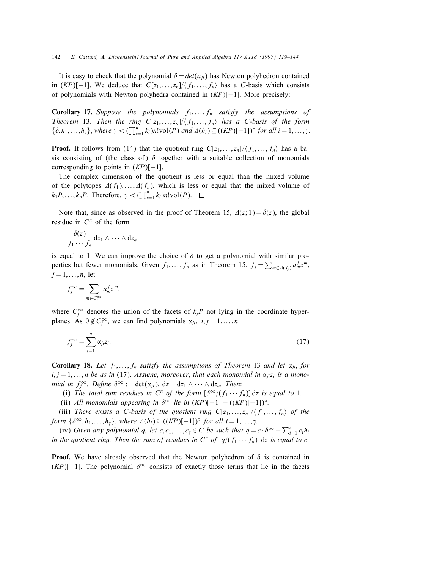It is easy to check that the polynomial  $\delta = det(a_{ii})$  has Newton polyhedron contained in  $(KP)[-1]$ . We deduce that  $C[z_1, \ldots, z_n]/\langle f_1, \ldots, f_n \rangle$  has a C-basis which consists of polynomials with Newton polyhedra contained in (KP)[−1]. More precisely:

**Corollary 17.** Suppose the polynomials  $f_1, \ldots, f_n$  satisfy the assumptions of Theorem 13. Then the ring  $C[z_1, \ldots, z_n]/\langle f_1, \ldots, f_n \rangle$  has a C-basis of the form  $\{\delta, h_1, \ldots, h_\gamma\}$ , where  $\gamma < (\prod_{i=1}^n k_i) n! \text{vol}(P)$  and  $\Delta(h_i) \subseteq ((KP)[-1])^\circ$  for all  $i = 1, \ldots, \gamma$ .

**Proof.** It follows from (14) that the quotient ring  $C[z_1, \ldots, z_n]/\langle f_1, \ldots, f_n \rangle$  has a basis consisting of (the class of)  $\delta$  together with a suitable collection of monomials corresponding to points in  $(KP)[-1]$ .

The complex dimension of the quotient is less or equal than the mixed volume of the polytopes  $\Delta(f_1), \ldots, \Delta(f_n)$ , which is less or equal that the mixed volume of  $k_1 P, \ldots, k_n P$ . Therefore,  $\gamma < (\prod_{i=1}^n k_i) n! \text{vol}(P)$ .

Note that, since as observed in the proof of Theorem 15,  $\Delta(z; 1) = \delta(z)$ , the global residue in  $C<sup>n</sup>$  of the form

$$
\frac{\delta(z)}{f_1\cdots f_n} dz_1\wedge\cdots\wedge dz_n
$$

is equal to 1. We can improve the choice of  $\delta$  to get a polynomial with similar properties but fewer monomials. Given  $f_1, \ldots, f_n$  as in Theorem 15,  $f_j = \sum_{m \in \Delta(f_j)} a_m^j z^m$ ,  $j = 1, \ldots, n$ , let

$$
f_j^{\infty} = \sum_{m \in C_j^{\infty}} a_m^j z^m,
$$

where  $C_j^{\infty}$  denotes the union of the facets of  $k_jP$  not lying in the coordinate hyperplanes. As  $0 \notin C_j^{\infty}$ , we can find polynomials  $\alpha_{ji}, i, j = 1, ..., n$ 

$$
f_j^{\infty} = \sum_{i=1}^n \alpha_{ji} z_i.
$$
 (17)

**Corollary 18.** Let  $f_1, \ldots, f_n$  satisfy the assumptions of Theorem 13 and let  $\alpha_{ji}$ , for  $i, j = 1, \ldots, n$  be as in (17). Assume, moreover, that each monomial in  $\alpha_{ji} z_i$  is a monomial in  $f_j^{\infty}$ . Define  $\delta^{\infty} := \det(\alpha_{ji})$ ,  $dz = dz_1 \wedge \cdots \wedge dz_n$ . Then:

(i) The total sum residues in  $C^n$  of the form  $[\delta^{\infty}/(f_1 \cdots f_n)]$  dz is equal to 1.

(ii) All monomials appearing in  $\delta^{\infty}$  lie in  $(KP)[-1] - ((KP)[-1])^{\circ}$ .

(iii) There exists a C-basis of the quotient ring  $C[z_1, \ldots, z_n]/\langle f_1, \ldots, f_n \rangle$  of the form  $\{\delta^{\infty}, h_1, \ldots, h_{\gamma}\}\$ , where  $\Delta(h_i) \subseteq ((KP)[-1])^{\circ}$  for all  $i = 1, \ldots, \gamma$ .

(iv) Given any polynomial q, let  $c, c_1, \ldots, c_\gamma \in C$  be such that  $q = c \cdot \delta^\infty + \sum_{i=1}^s c_i h_i$ in the quotient ring. Then the sum of residues in  $C^n$  of  $[q/(f_1 \cdots f_n)]$  dz is equal to c.

**Proof.** We have already observed that the Newton polyhedron of  $\delta$  is contained in  $(KP)[-1]$ . The polynomial  $\delta^{\infty}$  consists of exactly those terms that lie in the facets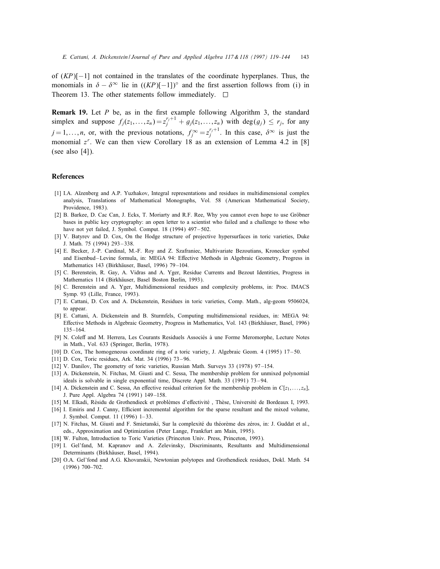of  $(KP)[-1]$  not contained in the translates of the coordinate hyperplanes. Thus, the monomials in  $\delta - \delta^{\infty}$  lie in  $((KP)$ [−1])<sup>°</sup> and the first assertion follows from (i) in Theorem 13. The other statements follow immediately.  $\square$ 

**Remark 19.** Let  $P$  be, as in the first example following Algorithm 3, the standard simplex and suppose  $f_j(z_1,...,z_n) = z_j^{r_j+1} + g_j(z_1,...,z_n)$  with  $\deg(g_j) \leq r_j$ , for any  $j = 1, \ldots, n$ , or, with the previous notations,  $f_j^{\infty} = z_j^{r_j+1}$ . In this case,  $\delta^{\infty}$  is just the monomial  $z^r$ . We can then view Corollary 18 as an extension of Lemma 4.2 in [8] (see also  $[4]$ ).

## References

- [1] I.A. Aĭzenberg and A.P. Yuzhakov, Integral representations and residues in multidimensional complex analysis, Translations of Mathematical Monographs, Vol. 58 (American Mathematical Society, Providence, 1983).
- [2] B. Barkee, D. Cac Can, J. Ecks, T. Moriarty and R.F. Ree, Why you cannot even hope to use Gröbner bases in public key cryptography: an open letter to a scientist who failed and a challenge to those who have not yet failed, J. Symbol. Comput. 18 (1994) 497-502.
- [3] V. Batyrev and D. Cox, On the Hodge structure of projective hypersurfaces in toric varieties, Duke J. Math. 75 (1994) 293–338.
- [4] E. Becker, J.-P. Cardinal, M.-F. Roy and Z. Szafraniec, Multivariate Bezoutians, Kronecker symbol and Eisenbud–Levine formula, in: MEGA 94: Effective Methods in Algebraic Geometry, Progress in Mathematics 143 (Birkhäuser, Basel, 1996) 79-104.
- [5] C. Berenstein, R. Gay, A. Vidras and A. Yger, Residue Currents and Bezout Identities, Progress in Mathematics 114 (Birkhäuser, Basel Boston Berlin, 1993).
- [6] C. Berenstein and A. Yger, Multidimensional residues and complexity problems, in: Proc. IMACS Symp. 93 (Lille, France, 1993).
- [7] E. Cattani, D. Cox and A. Dickenstein, Residues in toric varieties, Comp. Math., alg-geom 9506024, to appear.
- [8] E. Cattani, A. Dickenstein and B. Sturmfels, Computing multidimensional residues, in: MEGA 94: Effective Methods in Algebraic Geometry, Progress in Mathematics, Vol. 143 (Birkhäuser, Basel, 1996) 135 –164.
- [9] N. Coleff and M. Herrera, Les Courants Residuels Associés à une Forme Meromorphe, Lecture Notes in Math., Vol. 633 (Springer, Berlin, 1978).
- [10] D. Cox, The homogeneous coordinate ring of a toric variety, J. Algebraic Geom. 4 (1995) 17 –50.
- [11] D. Cox, Toric residues, Ark. Mat. 34 (1996) 73–96.
- [12] V. Danilov, The geometry of toric varieties, Russian Math. Surveys 33 (1978) 97–154.
- [13] A. Dickenstein, N. Fitchas, M. Giusti and C. Sessa, The membership problem for unmixed polynomial ideals is solvable in single exponential time, Discrete Appl. Math. 33 (1991) 73–94.
- [14] A. Dickenstein and C. Sessa, An effective residual criterion for the membership problem in  $C[z_1, \ldots, z_n]$ , J. Pure Appl. Algebra 74 (1991) 149 –158.
- [15] M. Elkadi, Résidu de Grothendieck et problèmes d'effectivité, Thèse, Université de Bordeaux I, 1993.
- [16] I. Emiris and J. Canny, Efficient incremental algorithm for the sparse resultant and the mixed volume, J. Symbol. Comput. 11 (1996) 1–33.
- [17] N. Fitchas, M. Giusti and F. Smietanski, Sur la complexité du théorème des zéros, in: J. Guddat et al., eds., Approximation and Optimization (Peter Lange, Frankfurt am Main, 1995).
- [18] W. Fulton, Introduction to Toric Varieties (Princeton Univ. Press, Princeton, 1993).
- [19] I. Gel'fand, M. Kapranov and A. Zelevinsky, Discriminants, Resultants and Multidimensional Determinants (Birkhäuser, Basel, 1994).
- [20] O.A. Gel'fond and A.G. Khovanskii, Newtonian polytopes and Grothendieck residues, Dokl. Math. 54 (1996) 700–702.